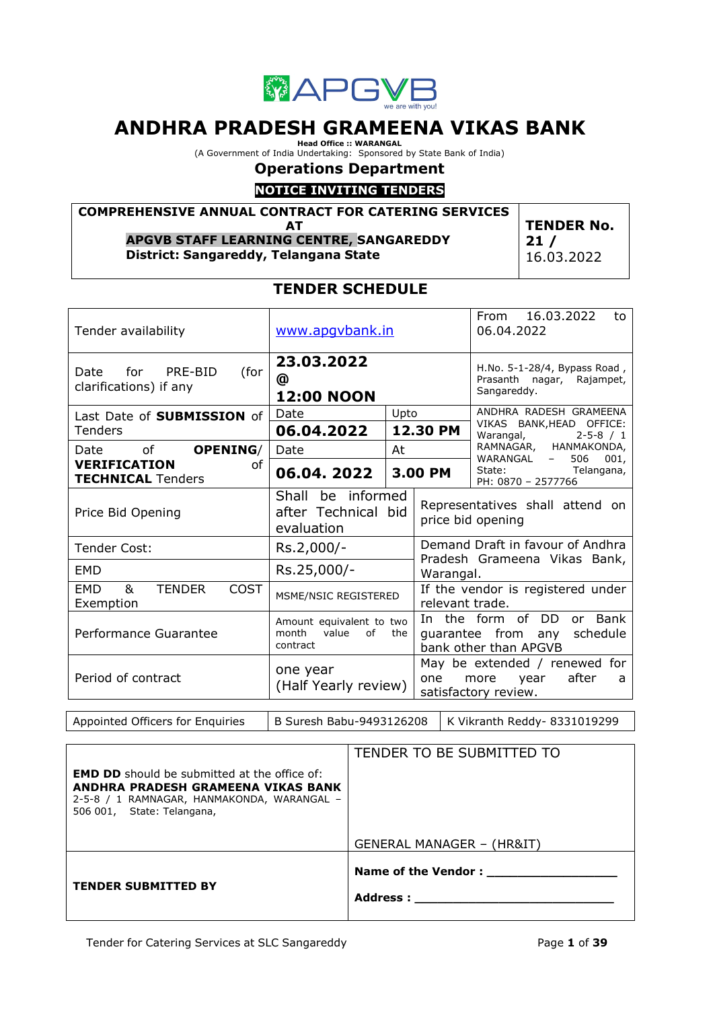

# **ANDHRA PRADESH GRAMEENA VIKAS BANK**

**Head Office :: WARANGAL**<br>(A Government of India Undertaking: Sponsored by State Bank of India)

# **Operations Department**

# **NOTICE INVITING TENDERS**

**COMPREHENSIVE ANNUAL CONTRACT FOR CATERING SERVICES AT**

**APGVB STAFF LEARNING CENTRE, SANGAREDDY**

**District: Sangareddy, Telangana State**

**TENDER No. 21 /** 16.03.2022

# **TENDER SCHEDULE**

| Tender availability                                          | www.apqvbank.in                                                     |         |                                                                          | 16.03.2022<br>From<br>to<br>06.04.2022                                                  |  |
|--------------------------------------------------------------|---------------------------------------------------------------------|---------|--------------------------------------------------------------------------|-----------------------------------------------------------------------------------------|--|
| for PRE-BID<br>Date<br>(for<br>clarifications) if any        | 23.03.2022<br>@<br><b>12:00 NOON</b>                                |         | H.No. 5-1-28/4, Bypass Road,<br>Prasanth nagar, Rajampet,<br>Sangareddy. |                                                                                         |  |
| Last Date of <b>SUBMISSION</b> of                            | Date                                                                | Upto    |                                                                          | ANDHRA RADESH GRAMEENA<br>VIKAS BANK, HEAD OFFICE:                                      |  |
| Tenders                                                      | 06.04.2022                                                          |         | 12.30 PM                                                                 | $2 - 5 - 8 / 1$<br>Warangal,                                                            |  |
| of<br><b>OPENING/</b><br>Date                                | Date                                                                | At      |                                                                          | RAMNAGAR, HANMAKONDA,<br>WARANGAL<br>506<br>001.<br>$\equiv$                            |  |
| <b>VERIFICATION</b><br>οf<br><b>TECHNICAL Tenders</b>        | 06.04.2022                                                          | 3.00 PM |                                                                          | State: www.<br>Telangana,<br>PH: 0870 - 2577766                                         |  |
| Price Bid Opening                                            | be informed<br>Shall<br>after Technical bid<br>evaluation           |         |                                                                          | Representatives shall attend on<br>price bid opening                                    |  |
| <b>Tender Cost:</b>                                          | Rs.2,000/-                                                          |         | Demand Draft in favour of Andhra                                         |                                                                                         |  |
| <b>FMD</b>                                                   | Rs.25,000/-                                                         |         | Pradesh Grameena Vikas Bank,<br>Warangal.                                |                                                                                         |  |
| <b>TENDER</b><br><b>COST</b><br><b>EMD</b><br>&<br>Exemption | MSME/NSIC REGISTERED                                                |         | relevant trade.                                                          | If the vendor is registered under                                                       |  |
| Performance Guarantee                                        | Amount equivalent to two<br>month<br>value<br>of<br>the<br>contract |         |                                                                          | In the form of DD<br>or Bank<br>guarantee from any<br>schedule<br>bank other than APGVB |  |
| Period of contract                                           | one year<br>(Half Yearly review)                                    |         | one                                                                      | May be extended / renewed for<br>after<br>more<br>year<br>a<br>satisfactory review.     |  |

Appointed Officers for Enquiries  $\vert$  B Suresh Babu-9493126208  $\vert$  K Vikranth Reddy-8331019299

| <b>EMD DD</b> should be submitted at the office of:<br>ANDHRA PRADESH GRAMEENA VIKAS BANK<br>2-5-8 / 1 RAMNAGAR, HANMAKONDA, WARANGAL -<br>506 001, State: Telangana, | GENERAL MANAGER – (HR&IT)                          |
|-----------------------------------------------------------------------------------------------------------------------------------------------------------------------|----------------------------------------------------|
| <b>TENDER SUBMITTED BY</b>                                                                                                                                            | Name of the Vendor :<br><b>Address : _________</b> |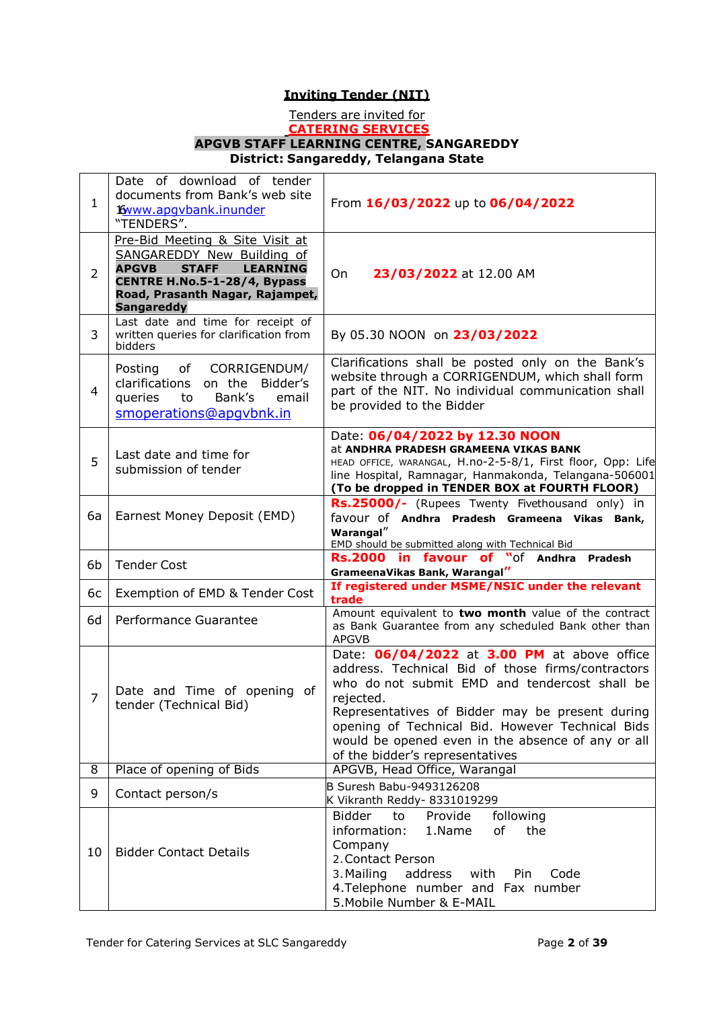# **Inviting Tender (NIT)**

#### Tenders are invited for **CATERING SERVICES APGVB STAFF LEARNING CENTRE, SANGAREDDY District: Sangareddy, Telangana State**

| 1              | Date of download of tender<br>documents from Bank's web site<br><b>Kyww.apgybank.inunder</b><br>"TENDERS".                                                                                               | From 16/03/2022 up to 06/04/2022                                                                                                                                                                                                                                                                                                                              |
|----------------|----------------------------------------------------------------------------------------------------------------------------------------------------------------------------------------------------------|---------------------------------------------------------------------------------------------------------------------------------------------------------------------------------------------------------------------------------------------------------------------------------------------------------------------------------------------------------------|
| $\overline{2}$ | Pre-Bid Meeting & Site Visit at<br>SANGAREDDY New Building of<br><b>APGVB</b><br><b>STAFF</b><br><b>LEARNING</b><br>CENTRE H.No.5-1-28/4, Bypass<br>Road, Prasanth Nagar, Rajampet,<br><b>Sangareddy</b> | On<br>23/03/2022 at 12.00 AM                                                                                                                                                                                                                                                                                                                                  |
| 3              | Last date and time for receipt of<br>written queries for clarification from<br>bidders                                                                                                                   | By 05.30 NOON on 23/03/2022                                                                                                                                                                                                                                                                                                                                   |
| $\overline{4}$ | of CORRIGENDUM/<br>Posting<br>Bidder's<br>clarifications on the<br>Bank's<br>queries<br>email<br>to<br>smoperations@apqvbnk.in                                                                           | Clarifications shall be posted only on the Bank's<br>website through a CORRIGENDUM, which shall form<br>part of the NIT. No individual communication shall<br>be provided to the Bidder                                                                                                                                                                       |
| 5              | Last date and time for<br>submission of tender                                                                                                                                                           | Date: 06/04/2022 by 12.30 NOON<br>at ANDHRA PRADESH GRAMEENA VIKAS BANK<br>HEAD OFFICE, WARANGAL, H.no-2-5-8/1, First floor, Opp: Life<br>line Hospital, Ramnagar, Hanmakonda, Telangana-506001<br>(To be dropped in TENDER BOX at FOURTH FLOOR)                                                                                                              |
| 6a             | Earnest Money Deposit (EMD)                                                                                                                                                                              | Rs.25000/- (Rupees Twenty Fivethousand only) in<br>favour of Andhra Pradesh Grameena Vikas Bank,<br>Warangal"<br>EMD should be submitted along with Technical Bid                                                                                                                                                                                             |
| 6b             | <b>Tender Cost</b>                                                                                                                                                                                       | Rs.2000 in favour of "of<br>Andhra<br><b>Pradesh</b><br>GrameenaVikas Bank, Warangal"                                                                                                                                                                                                                                                                         |
| 6с             | Exemption of EMD & Tender Cost                                                                                                                                                                           | If registered under MSME/NSIC under the relevant<br>trade                                                                                                                                                                                                                                                                                                     |
| 6d             | Performance Guarantee                                                                                                                                                                                    | Amount equivalent to two month value of the contract<br>as Bank Guarantee from any scheduled Bank other than<br><b>APGVB</b>                                                                                                                                                                                                                                  |
| $\overline{7}$ | Date and Time of opening of<br>tender (Technical Bid)                                                                                                                                                    | Date: 06/04/2022 at 3.00 PM at above office<br>address. Technical Bid of those firms/contractors<br>who do not submit EMD and tendercost shall be<br>rejected.<br>Representatives of Bidder may be present during<br>opening of Technical Bid. However Technical Bids<br>would be opened even in the absence of any or all<br>of the bidder's representatives |
| 8              | Place of opening of Bids                                                                                                                                                                                 | APGVB, Head Office, Warangal                                                                                                                                                                                                                                                                                                                                  |
| 9              | Contact person/s                                                                                                                                                                                         | B Suresh Babu-9493126208<br>K Vikranth Reddy- 8331019299                                                                                                                                                                                                                                                                                                      |
| 10             | <b>Bidder Contact Details</b>                                                                                                                                                                            | <b>Bidder</b><br>Provide<br>following<br>to<br>information:<br>1.Name<br>of<br>the<br>Company<br>2. Contact Person<br>3. Mailing<br>address<br>with<br>Pin<br>Code<br>4. Telephone number and Fax number<br>5. Mobile Number & E-MAIL                                                                                                                         |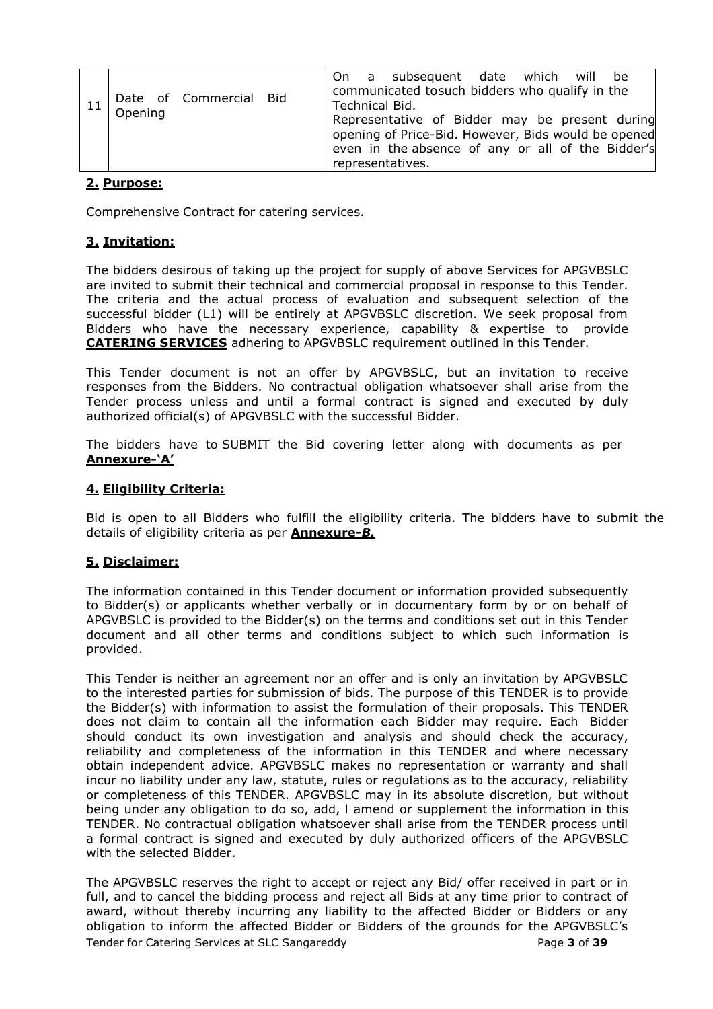| Opening | Date of Commercial Bid | Technical Bid. | On a subsequent date which will be<br>communicated tosuch bidders who qualify in the<br>Representative of Bidder may be present during<br>opening of Price-Bid. However, Bids would be opened |  |  |
|---------|------------------------|----------------|-----------------------------------------------------------------------------------------------------------------------------------------------------------------------------------------------|--|--|
|         |                        |                | even in the absence of any or all of the Bidder's<br>representatives.                                                                                                                         |  |  |

# **2. Purpose:**

Comprehensive Contract for catering services.

# **3. Invitation:**

The bidders desirous of taking up the project for supply of above Services for APGVBSLC are invited to submit their technical and commercial proposal in response to this Tender. The criteria and the actual process of evaluation and subsequent selection of the successful bidder (L1) will be entirely at APGVBSLC discretion. We seek proposal from Bidders who have the necessary experience, capability & expertise to provide **CATERING SERVICES** adhering to APGVBSLC requirement outlined in this Tender.

This Tender document is not an offer by APGVBSLC, but an invitation to receive responses from the Bidders. No contractual obligation whatsoever shall arise from the Tender process unless and until a formal contract is signed and executed by duly authorized official(s) of APGVBSLC with the successful Bidder.

The bidders have to SUBMIT the Bid covering letter along with documents as per **Annexure-"A"**

### **4. Eligibility Criteria:**

Bid is open to all Bidders who fulfill the eligibility criteria. The bidders have to submit the details of eligibility criteria as per **Annexure***-B.*

#### **5. Disclaimer:**

The information contained in this Tender document or information provided subsequently to Bidder(s) or applicants whether verbally or in documentary form by or on behalf of APGVBSLC is provided to the Bidder(s) on the terms and conditions set out in this Tender document and all other terms and conditions subject to which such information is provided.

This Tender is neither an agreement nor an offer and is only an invitation by APGVBSLC to the interested parties for submission of bids. The purpose of this TENDER is to provide the Bidder(s) with information to assist the formulation of their proposals. This TENDER does not claim to contain all the information each Bidder may require. Each Bidder should conduct its own investigation and analysis and should check the accuracy, reliability and completeness of the information in this TENDER and where necessary obtain independent advice. APGVBSLC makes no representation or warranty and shall incur no liability under any law, statute, rules or regulations as to the accuracy, reliability or completeness of this TENDER. APGVBSLC may in its absolute discretion, but without being under any obligation to do so, add, l amend or supplement the information in this TENDER. No contractual obligation whatsoever shall arise from the TENDER process until a formal contract is signed and executed by duly authorized officers of the APGVBSLC with the selected Bidder.

Tender for Catering Services at SLC Sangareddy Page **3** of **39** The APGVBSLC reserves the right to accept or reject any Bid/ offer received in part or in full, and to cancel the bidding process and reject all Bids at any time prior to contract of award, without thereby incurring any liability to the affected Bidder or Bidders or any obligation to inform the affected Bidder or Bidders of the grounds for the APGVBSLC's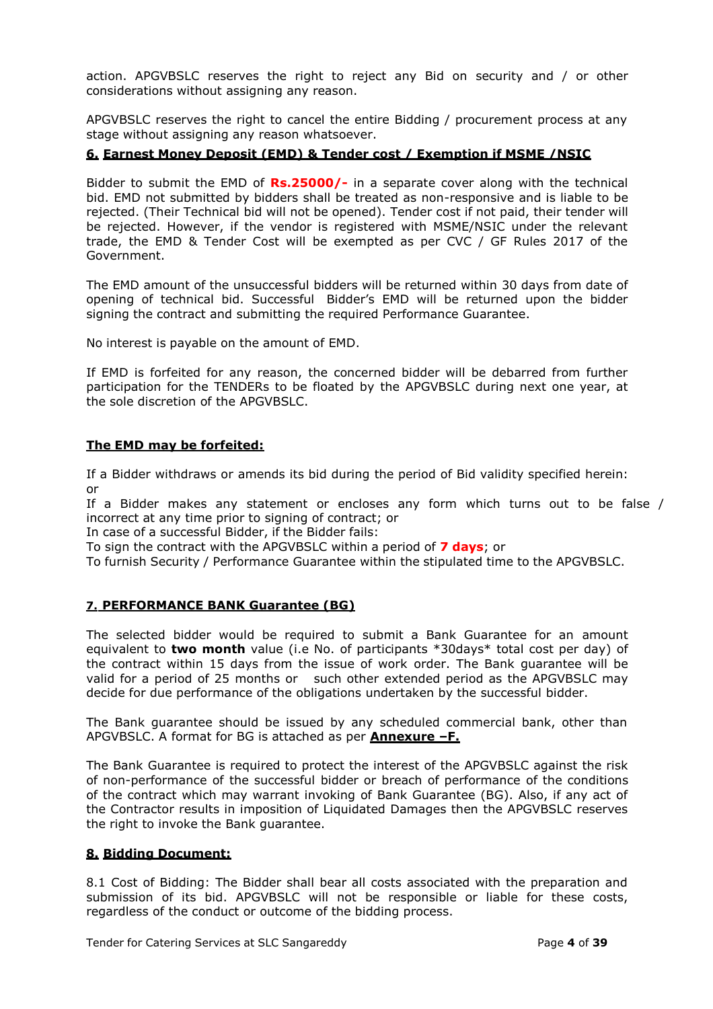action. APGVBSLC reserves the right to reject any Bid on security and / or other considerations without assigning any reason.

APGVBSLC reserves the right to cancel the entire Bidding / procurement process at any stage without assigning any reason whatsoever.

### **6. Earnest Money Deposit (EMD) & Tender cost / Exemption if MSME /NSIC**

Bidder to submit the EMD of **Rs.25000/-** in a separate cover along with the technical bid. EMD not submitted by bidders shall be treated as non-responsive and is liable to be rejected. (Their Technical bid will not be opened). Tender cost if not paid, their tender will be rejected. However, if the vendor is registered with MSME/NSIC under the relevant trade, the EMD & Tender Cost will be exempted as per CVC / GF Rules 2017 of the Government.

The EMD amount of the unsuccessful bidders will be returned within 30 days from date of opening of technical bid. Successful Bidder's EMD will be returned upon the bidder signing the contract and submitting the required Performance Guarantee.

No interest is payable on the amount of EMD.

If EMD is forfeited for any reason, the concerned bidder will be debarred from further participation for the TENDERs to be floated by the APGVBSLC during next one year, at the sole discretion of the APGVBSLC.

#### **The EMD may be forfeited:**

If a Bidder withdraws or amends its bid during the period of Bid validity specified herein: or

If a Bidder makes any statement or encloses any form which turns out to be false / incorrect at any time prior to signing of contract; or

In case of a successful Bidder, if the Bidder fails:

To sign the contract with the APGVBSLC within a period of **7 days**; or

To furnish Security / Performance Guarantee within the stipulated time to the APGVBSLC.

#### **7. PERFORMANCE BANK Guarantee (BG)**

The selected bidder would be required to submit a Bank Guarantee for an amount equivalent to **two month** value (i.e No. of participants \*30days\* total cost per day) of the contract within 15 days from the issue of work order. The Bank guarantee will be valid for a period of 25 months or such other extended period as the APGVBSLC may decide for due performance of the obligations undertaken by the successful bidder.

The Bank guarantee should be issued by any scheduled commercial bank, other than APGVBSLC. A format for BG is attached as per **Annexure –F.**

The Bank Guarantee is required to protect the interest of the APGVBSLC against the risk of non-performance of the successful bidder or breach of performance of the conditions of the contract which may warrant invoking of Bank Guarantee (BG). Also, if any act of the Contractor results in imposition of Liquidated Damages then the APGVBSLC reserves the right to invoke the Bank guarantee.

#### **8. Bidding Document:**

8.1 Cost of Bidding: The Bidder shall bear all costs associated with the preparation and submission of its bid. APGVBSLC will not be responsible or liable for these costs, regardless of the conduct or outcome of the bidding process.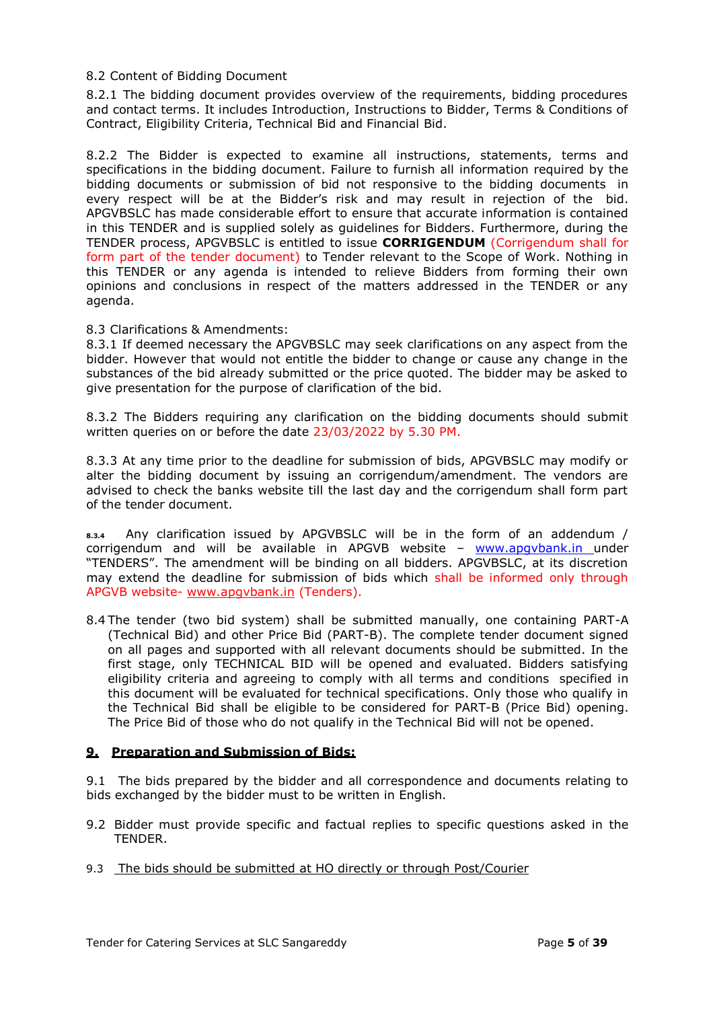#### 8.2 Content of Bidding Document

8.2.1 The bidding document provides overview of the requirements, bidding procedures and contact terms. It includes Introduction, Instructions to Bidder, Terms & Conditions of Contract, Eligibility Criteria, Technical Bid and Financial Bid.

8.2.2 The Bidder is expected to examine all instructions, statements, terms and specifications in the bidding document. Failure to furnish all information required by the bidding documents or submission of bid not responsive to the bidding documents in every respect will be at the Bidder's risk and may result in rejection of the bid. APGVBSLC has made considerable effort to ensure that accurate information is contained in this TENDER and is supplied solely as guidelines for Bidders. Furthermore, during the TENDER process, APGVBSLC is entitled to issue **CORRIGENDUM** (Corrigendum shall for form part of the tender document) to Tender relevant to the Scope of Work. Nothing in this TENDER or any agenda is intended to relieve Bidders from forming their own opinions and conclusions in respect of the matters addressed in the TENDER or any agenda.

### 8.3 Clarifications & Amendments:

8.3.1 If deemed necessary the APGVBSLC may seek clarifications on any aspect from the bidder. However that would not entitle the bidder to change or cause any change in the substances of the bid already submitted or the price quoted. The bidder may be asked to give presentation for the purpose of clarification of the bid.

8.3.2 The Bidders requiring any clarification on the bidding documents should submit written queries on or before the date 23/03/2022 by 5.30 PM.

8.3.3 At any time prior to the deadline for submission of bids, APGVBSLC may modify or alter the bidding document by issuing an corrigendum/amendment. The vendors are advised to check the banks website till the last day and the corrigendum shall form part of the tender document.

**8.3.4** Any clarification issued by APGVBSLC will be in the form of an addendum / corrigendum and will be available in APGVB website – [www.apgvbank.in](http://www.apgvbank.in/) under "TENDERS". The amendment will be binding on all bidders. APGVBSLC, at its discretion may extend the deadline for submission of bids which shall be informed only through APGVB website- [www.apgvbank.in](http://www.apgvbank.in/) (Tenders).

8.4 The tender (two bid system) shall be submitted manually, one containing PART-A (Technical Bid) and other Price Bid (PART-B). The complete tender document signed on all pages and supported with all relevant documents should be submitted. In the first stage, only TECHNICAL BID will be opened and evaluated. Bidders satisfying eligibility criteria and agreeing to comply with all terms and conditions specified in this document will be evaluated for technical specifications. Only those who qualify in the Technical Bid shall be eligible to be considered for PART-B (Price Bid) opening. The Price Bid of those who do not qualify in the Technical Bid will not be opened.

#### **9. Preparation and Submission of Bids:**

9.1 The bids prepared by the bidder and all correspondence and documents relating to bids exchanged by the bidder must to be written in English.

- 9.2 Bidder must provide specific and factual replies to specific questions asked in the TENDER.
- 9.3 The bids should be submitted at HO directly or through Post/Courier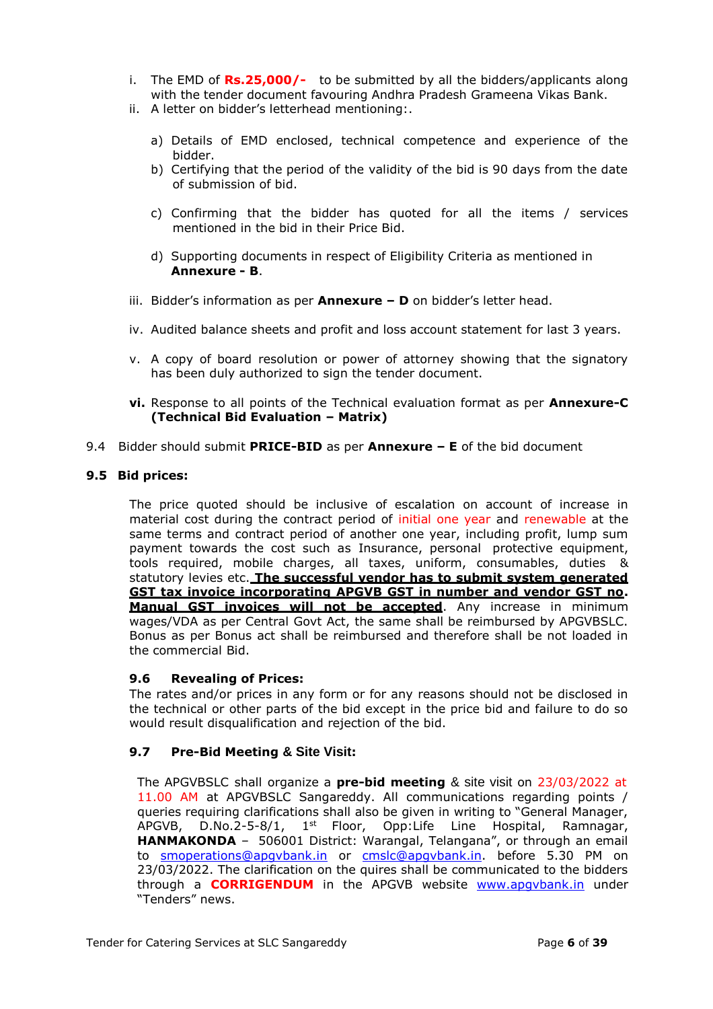- i. The EMD of **Rs.25,000/-** to be submitted by all the bidders/applicants along with the tender document favouring Andhra Pradesh Grameena Vikas Bank.
- ii. A letter on bidder's letterhead mentioning:.
	- a) Details of EMD enclosed, technical competence and experience of the bidder.
	- b) Certifying that the period of the validity of the bid is 90 days from the date of submission of bid.
	- c) Confirming that the bidder has quoted for all the items / services mentioned in the bid in their Price Bid.
	- d) Supporting documents in respect of Eligibility Criteria as mentioned in **Annexure - B**.
- iii. Bidder's information as per **Annexure – D** on bidder's letter head.
- iv. Audited balance sheets and profit and loss account statement for last 3 years.
- v. A copy of board resolution or power of attorney showing that the signatory has been duly authorized to sign the tender document.
- **vi.** Response to all points of the Technical evaluation format as per **Annexure-C (Technical Bid Evaluation – Matrix)**
- 9.4 Bidder should submit **PRICE-BID** as per **Annexure – E** of the bid document

### **9.5 Bid prices:**

The price quoted should be inclusive of escalation on account of increase in material cost during the contract period of initial one year and renewable at the same terms and contract period of another one year, including profit, lump sum payment towards the cost such as Insurance, personal protective equipment, tools required, mobile charges, all taxes, uniform, consumables, duties & statutory levies etc. **The successful vendor has to submit system generated GST tax invoice incorporating APGVB GST in number and vendor GST no. Manual GST invoices will not be accepted**. Any increase in minimum wages/VDA as per Central Govt Act, the same shall be reimbursed by APGVBSLC. Bonus as per Bonus act shall be reimbursed and therefore shall be not loaded in the commercial Bid.

# **9.6 Revealing of Prices:**

The rates and/or prices in any form or for any reasons should not be disclosed in the technical or other parts of the bid except in the price bid and failure to do so would result disqualification and rejection of the bid.

# **9.7 Pre-Bid Meeting & Site Visit:**

The APGVBSLC shall organize a **pre-bid meeting** & site visit on 23/03/2022 at 11.00 AM at APGVBSLC Sangareddy. All communications regarding points / queries requiring clarifications shall also be given in writing to "General Manager, APGVB, D.No.2-5-8/1, 1<sup>st</sup> Floor, Opp:Life Line Hospital, Ramnagar, **HANMAKONDA** – 506001 District: Warangal, Telangana", or through an email to [smoperations@apgvbank.in](mailto:smoperations@apgvbank.in) or [cmslc@apgvbank.in.](mailto:cmslc@apgvbank.in) before 5.30 PM on 23/03/2022. The clarification on the quires shall be communicated to the bidders through a **CORRIGENDUM** in the APGVB website [www.apgvbank.in](http://www.apgvbank.in/) under "Tenders" news.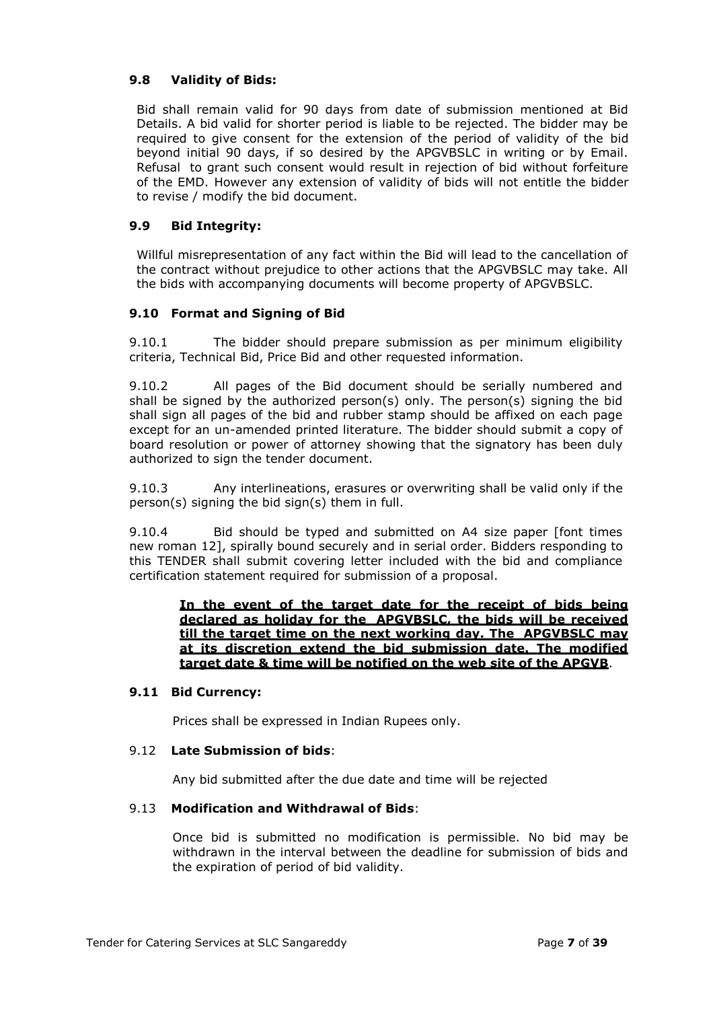## **9.8 Validity of Bids:**

Bid shall remain valid for 90 days from date of submission mentioned at Bid Details. A bid valid for shorter period is liable to be rejected. The bidder may be required to give consent for the extension of the period of validity of the bid beyond initial 90 days, if so desired by the APGVBSLC in writing or by Email. Refusal to grant such consent would result in rejection of bid without forfeiture of the EMD. However any extension of validity of bids will not entitle the bidder to revise / modify the bid document.

#### **9.9 Bid Integrity:**

Willful misrepresentation of any fact within the Bid will lead to the cancellation of the contract without prejudice to other actions that the APGVBSLC may take. All the bids with accompanying documents will become property of APGVBSLC.

### **9.10 Format and Signing of Bid**

9.10.1 The bidder should prepare submission as per minimum eligibility criteria, Technical Bid, Price Bid and other requested information.

9.10.2 All pages of the Bid document should be serially numbered and shall be signed by the authorized person(s) only. The person(s) signing the bid shall sign all pages of the bid and rubber stamp should be affixed on each page except for an un-amended printed literature. The bidder should submit a copy of board resolution or power of attorney showing that the signatory has been duly authorized to sign the tender document.

9.10.3 Any interlineations, erasures or overwriting shall be valid only if the person(s) signing the bid sign(s) them in full.

9.10.4 Bid should be typed and submitted on A4 size paper [font times new roman 12], spirally bound securely and in serial order. Bidders responding to this TENDER shall submit covering letter included with the bid and compliance certification statement required for submission of a proposal.

**In the event of the target date for the receipt of bids being declared as holiday for the APGVBSLC, the bids will be received till the target time on the next working day. The APGVBSLC may at its discretion extend the bid submission date. The modified target date & time will be notified on the web site of the APGVB**.

#### **9.11 Bid Currency:**

Prices shall be expressed in Indian Rupees only.

#### 9.12 **Late Submission of bids**:

Any bid submitted after the due date and time will be rejected

# 9.13 **Modification and Withdrawal of Bids**:

Once bid is submitted no modification is permissible. No bid may be withdrawn in the interval between the deadline for submission of bids and the expiration of period of bid validity.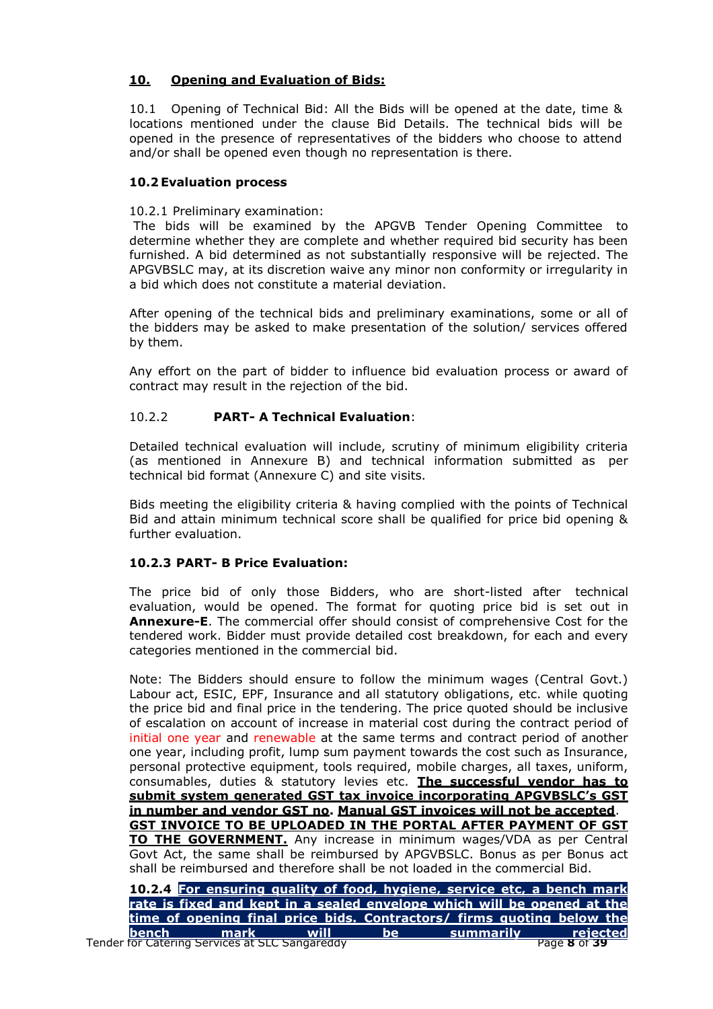# **10. Opening and Evaluation of Bids:**

10.1 Opening of Technical Bid: All the Bids will be opened at the date, time & locations mentioned under the clause Bid Details. The technical bids will be opened in the presence of representatives of the bidders who choose to attend and/or shall be opened even though no representation is there.

# **10.2 Evaluation process**

### 10.2.1 Preliminary examination:

The bids will be examined by the APGVB Tender Opening Committee to determine whether they are complete and whether required bid security has been furnished. A bid determined as not substantially responsive will be rejected. The APGVBSLC may, at its discretion waive any minor non conformity or irregularity in a bid which does not constitute a material deviation.

After opening of the technical bids and preliminary examinations, some or all of the bidders may be asked to make presentation of the solution/ services offered by them.

Any effort on the part of bidder to influence bid evaluation process or award of contract may result in the rejection of the bid.

# 10.2.2 **PART- A Technical Evaluation**:

Detailed technical evaluation will include, scrutiny of minimum eligibility criteria (as mentioned in Annexure B) and technical information submitted as per technical bid format (Annexure C) and site visits.

Bids meeting the eligibility criteria & having complied with the points of Technical Bid and attain minimum technical score shall be qualified for price bid opening & further evaluation.

# **10.2.3 PART- B Price Evaluation:**

The price bid of only those Bidders, who are short-listed after technical evaluation, would be opened. The format for quoting price bid is set out in **Annexure-E**. The commercial offer should consist of comprehensive Cost for the tendered work. Bidder must provide detailed cost breakdown, for each and every categories mentioned in the commercial bid.

Note: The Bidders should ensure to follow the minimum wages (Central Govt.) Labour act, ESIC, EPF, Insurance and all statutory obligations, etc. while quoting the price bid and final price in the tendering. The price quoted should be inclusive of escalation on account of increase in material cost during the contract period of initial one year and renewable at the same terms and contract period of another one year, including profit, lump sum payment towards the cost such as Insurance, personal protective equipment, tools required, mobile charges, all taxes, uniform, consumables, duties & statutory levies etc. **The successful vendor has to submit system generated GST tax invoice incorporating APGVBSLC"s GST in number and vendor GST no. Manual GST invoices will not be accepted**. **GST INVOICE TO BE UPLOADED IN THE PORTAL AFTER PAYMENT OF GST TO THE GOVERNMENT.** Any increase in minimum wages/VDA as per Central Govt Act, the same shall be reimbursed by APGVBSLC. Bonus as per Bonus act shall be reimbursed and therefore shall be not loaded in the commercial Bid.

|        |      |      |           | 10.2.4 For ensuring quality of food, hygiene, service etc, a bench mark |                   |
|--------|------|------|-----------|-------------------------------------------------------------------------|-------------------|
|        |      |      |           | rate is fixed and kept in a sealed envelope which will be opened at the |                   |
|        |      |      |           | Itime of opening final price bids. Contractors/ firms quoting below the |                   |
| lbench | mark | will | <b>he</b> | i summarilv '                                                           | rejected          |
|        |      |      |           |                                                                         | _________________ |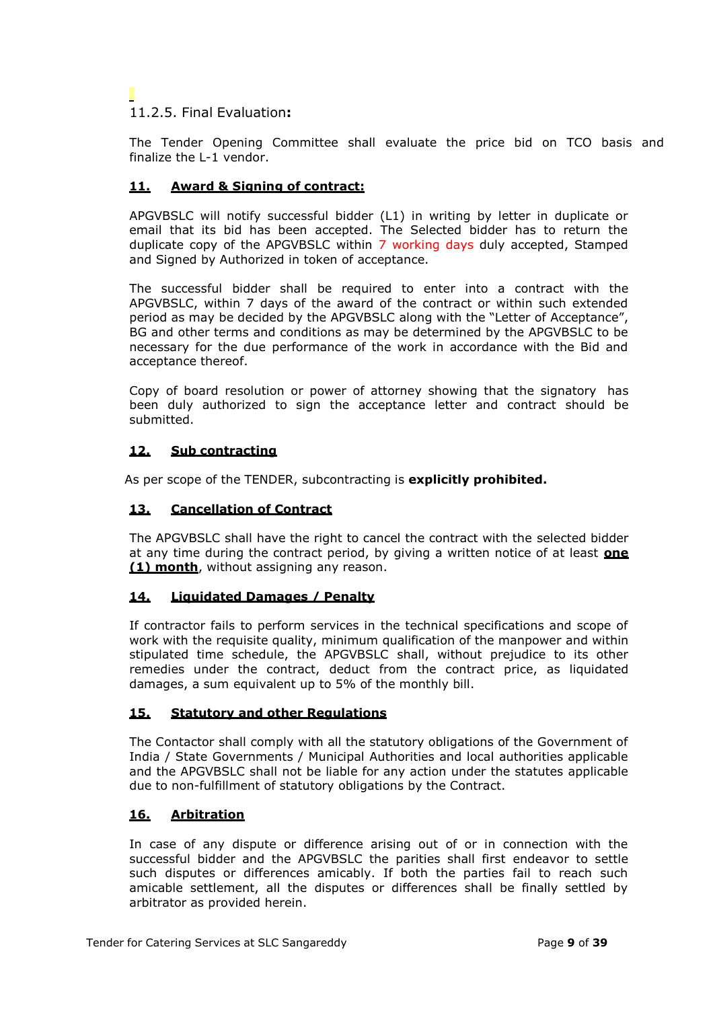# 11.2.5. Final Evaluation**:**

The Tender Opening Committee shall evaluate the price bid on TCO basis and finalize the L-1 vendor.

# **11. Award & Signing of contract:**

APGVBSLC will notify successful bidder (L1) in writing by letter in duplicate or email that its bid has been accepted. The Selected bidder has to return the duplicate copy of the APGVBSLC within 7 working days duly accepted, Stamped and Signed by Authorized in token of acceptance.

The successful bidder shall be required to enter into a contract with the APGVBSLC, within 7 days of the award of the contract or within such extended period as may be decided by the APGVBSLC along with the "Letter of Acceptance", BG and other terms and conditions as may be determined by the APGVBSLC to be necessary for the due performance of the work in accordance with the Bid and acceptance thereof.

Copy of board resolution or power of attorney showing that the signatory has been duly authorized to sign the acceptance letter and contract should be submitted.

# **12. Sub contracting**

As per scope of the TENDER, subcontracting is **explicitly prohibited.**

# **13. Cancellation of Contract**

The APGVBSLC shall have the right to cancel the contract with the selected bidder at any time during the contract period, by giving a written notice of at least **one (1) month**, without assigning any reason.

# **14. Liquidated Damages / Penalty**

If contractor fails to perform services in the technical specifications and scope of work with the requisite quality, minimum qualification of the manpower and within stipulated time schedule, the APGVBSLC shall, without prejudice to its other remedies under the contract, deduct from the contract price, as liquidated damages, a sum equivalent up to 5% of the monthly bill.

# **15. Statutory and other Regulations**

The Contactor shall comply with all the statutory obligations of the Government of India / State Governments / Municipal Authorities and local authorities applicable and the APGVBSLC shall not be liable for any action under the statutes applicable due to non-fulfillment of statutory obligations by the Contract.

# **16. Arbitration**

In case of any dispute or difference arising out of or in connection with the successful bidder and the APGVBSLC the parities shall first endeavor to settle such disputes or differences amicably. If both the parties fail to reach such amicable settlement, all the disputes or differences shall be finally settled by arbitrator as provided herein.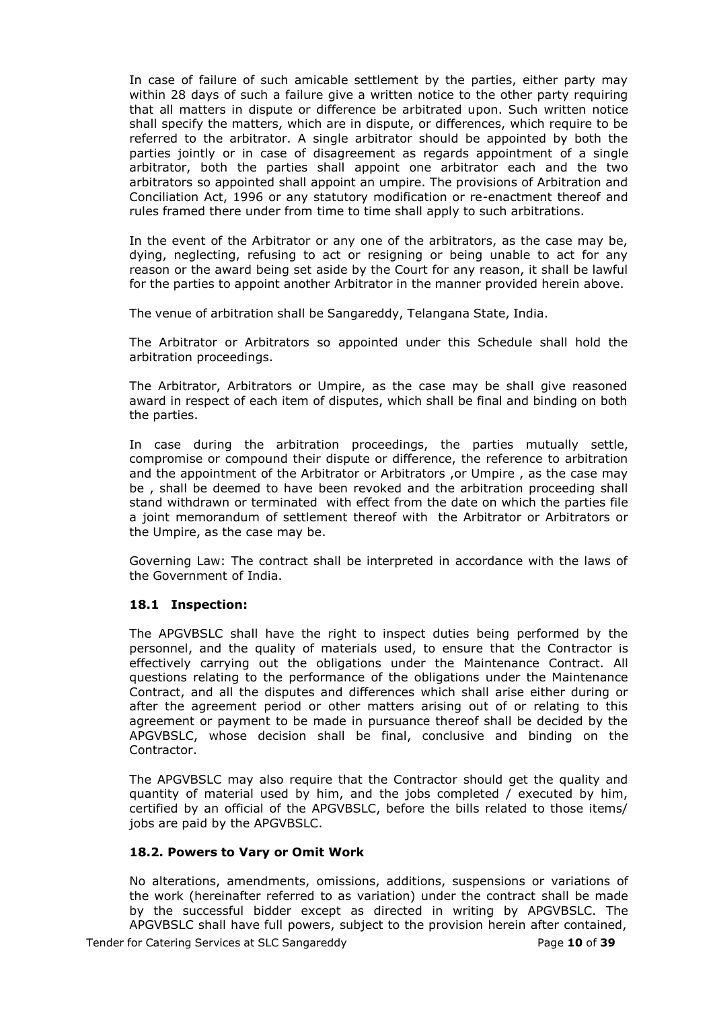In case of failure of such amicable settlement by the parties, either party may within 28 days of such a failure give a written notice to the other party requiring that all matters in dispute or difference be arbitrated upon. Such written notice shall specify the matters, which are in dispute, or differences, which require to be referred to the arbitrator. A single arbitrator should be appointed by both the parties jointly or in case of disagreement as regards appointment of a single arbitrator, both the parties shall appoint one arbitrator each and the two arbitrators so appointed shall appoint an umpire. The provisions of Arbitration and Conciliation Act, 1996 or any statutory modification or re-enactment thereof and rules framed there under from time to time shall apply to such arbitrations.

In the event of the Arbitrator or any one of the arbitrators, as the case may be, dying, neglecting, refusing to act or resigning or being unable to act for any reason or the award being set aside by the Court for any reason, it shall be lawful for the parties to appoint another Arbitrator in the manner provided herein above.

The venue of arbitration shall be Sangareddy, Telangana State, India.

The Arbitrator or Arbitrators so appointed under this Schedule shall hold the arbitration proceedings.

The Arbitrator, Arbitrators or Umpire, as the case may be shall give reasoned award in respect of each item of disputes, which shall be final and binding on both the parties.

In case during the arbitration proceedings, the parties mutually settle, compromise or compound their dispute or difference, the reference to arbitration and the appointment of the Arbitrator or Arbitrators ,or Umpire , as the case may be , shall be deemed to have been revoked and the arbitration proceeding shall stand withdrawn or terminated with effect from the date on which the parties file a joint memorandum of settlement thereof with the Arbitrator or Arbitrators or the Umpire, as the case may be.

Governing Law: The contract shall be interpreted in accordance with the laws of the Government of India.

#### **18.1 Inspection:**

The APGVBSLC shall have the right to inspect duties being performed by the personnel, and the quality of materials used, to ensure that the Contractor is effectively carrying out the obligations under the Maintenance Contract. All questions relating to the performance of the obligations under the Maintenance Contract, and all the disputes and differences which shall arise either during or after the agreement period or other matters arising out of or relating to this agreement or payment to be made in pursuance thereof shall be decided by the APGVBSLC, whose decision shall be final, conclusive and binding on the Contractor.

The APGVBSLC may also require that the Contractor should get the quality and quantity of material used by him, and the jobs completed / executed by him, certified by an official of the APGVBSLC, before the bills related to those items/ jobs are paid by the APGVBSLC.

#### **18.2. Powers to Vary or Omit Work**

No alterations, amendments, omissions, additions, suspensions or variations of the work (hereinafter referred to as variation) under the contract shall be made by the successful bidder except as directed in writing by APGVBSLC. The APGVBSLC shall have full powers, subject to the provision herein after contained,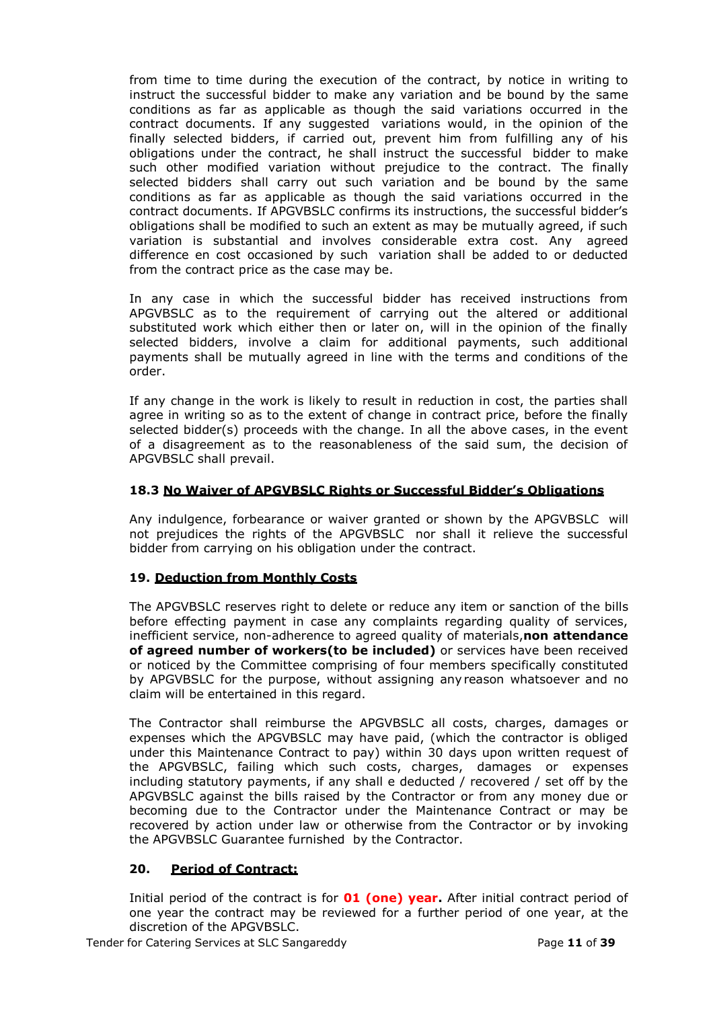from time to time during the execution of the contract, by notice in writing to instruct the successful bidder to make any variation and be bound by the same conditions as far as applicable as though the said variations occurred in the contract documents. If any suggested variations would, in the opinion of the finally selected bidders, if carried out, prevent him from fulfilling any of his obligations under the contract, he shall instruct the successful bidder to make such other modified variation without prejudice to the contract. The finally selected bidders shall carry out such variation and be bound by the same conditions as far as applicable as though the said variations occurred in the contract documents. If APGVBSLC confirms its instructions, the successful bidder's obligations shall be modified to such an extent as may be mutually agreed, if such variation is substantial and involves considerable extra cost. Any agreed difference en cost occasioned by such variation shall be added to or deducted from the contract price as the case may be.

In any case in which the successful bidder has received instructions from APGVBSLC as to the requirement of carrying out the altered or additional substituted work which either then or later on, will in the opinion of the finally selected bidders, involve a claim for additional payments, such additional payments shall be mutually agreed in line with the terms and conditions of the order.

If any change in the work is likely to result in reduction in cost, the parties shall agree in writing so as to the extent of change in contract price, before the finally selected bidder(s) proceeds with the change. In all the above cases, in the event of a disagreement as to the reasonableness of the said sum, the decision of APGVBSLC shall prevail.

# **18.3 No Waiver of APGVBSLC Rights or Successful Bidder"s Obligations**

Any indulgence, forbearance or waiver granted or shown by the APGVBSLC will not prejudices the rights of the APGVBSLC nor shall it relieve the successful bidder from carrying on his obligation under the contract.

# **19. Deduction from Monthly Costs**

The APGVBSLC reserves right to delete or reduce any item or sanction of the bills before effecting payment in case any complaints regarding quality of services, inefficient service, non-adherence to agreed quality of materials,**non attendance of agreed number of workers(to be included)** or services have been received or noticed by the Committee comprising of four members specifically constituted by APGVBSLC for the purpose, without assigning any reason whatsoever and no claim will be entertained in this regard.

The Contractor shall reimburse the APGVBSLC all costs, charges, damages or expenses which the APGVBSLC may have paid, (which the contractor is obliged under this Maintenance Contract to pay) within 30 days upon written request of the APGVBSLC, failing which such costs, charges, damages or expenses including statutory payments, if any shall e deducted / recovered / set off by the APGVBSLC against the bills raised by the Contractor or from any money due or becoming due to the Contractor under the Maintenance Contract or may be recovered by action under law or otherwise from the Contractor or by invoking the APGVBSLC Guarantee furnished by the Contractor.

# **20. Period of Contract:**

Initial period of the contract is for **01 (one) year.** After initial contract period of one year the contract may be reviewed for a further period of one year, at the discretion of the APGVBSLC.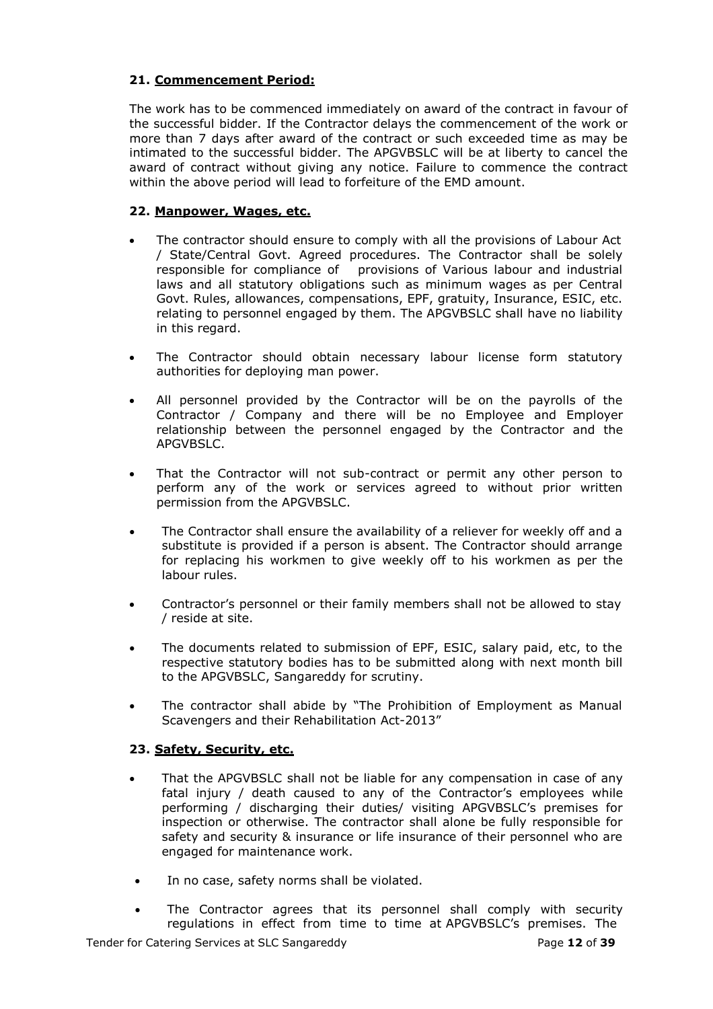# **21. Commencement Period:**

The work has to be commenced immediately on award of the contract in favour of the successful bidder. If the Contractor delays the commencement of the work or more than 7 days after award of the contract or such exceeded time as may be intimated to the successful bidder. The APGVBSLC will be at liberty to cancel the award of contract without giving any notice. Failure to commence the contract within the above period will lead to forfeiture of the EMD amount.

# **22. Manpower, Wages, etc.**

- The contractor should ensure to comply with all the provisions of Labour Act / State/Central Govt. Agreed procedures. The Contractor shall be solely responsible for compliance of provisions of Various labour and industrial laws and all statutory obligations such as minimum wages as per Central Govt. Rules, allowances, compensations, EPF, gratuity, Insurance, ESIC, etc. relating to personnel engaged by them. The APGVBSLC shall have no liability in this regard.
- The Contractor should obtain necessary labour license form statutory authorities for deploying man power.
- All personnel provided by the Contractor will be on the payrolls of the Contractor / Company and there will be no Employee and Employer relationship between the personnel engaged by the Contractor and the APGVBSLC.
- That the Contractor will not sub-contract or permit any other person to perform any of the work or services agreed to without prior written permission from the APGVBSLC.
- The Contractor shall ensure the availability of a reliever for weekly off and a substitute is provided if a person is absent. The Contractor should arrange for replacing his workmen to give weekly off to his workmen as per the labour rules.
- Contractor's personnel or their family members shall not be allowed to stay / reside at site.
- The documents related to submission of EPF, ESIC, salary paid, etc, to the respective statutory bodies has to be submitted along with next month bill to the APGVBSLC, Sangareddy for scrutiny.
- The contractor shall abide by "The Prohibition of Employment as Manual Scavengers and their Rehabilitation Act-2013"

# **23. Safety, Security, etc.**

- That the APGVBSLC shall not be liable for any compensation in case of any fatal injury / death caused to any of the Contractor's employees while performing / discharging their duties/ visiting APGVBSLC's premises for inspection or otherwise. The contractor shall alone be fully responsible for safety and security & insurance or life insurance of their personnel who are engaged for maintenance work.
- In no case, safety norms shall be violated.
- The Contractor agrees that its personnel shall comply with security regulations in effect from time to time at APGVBSLC's premises. The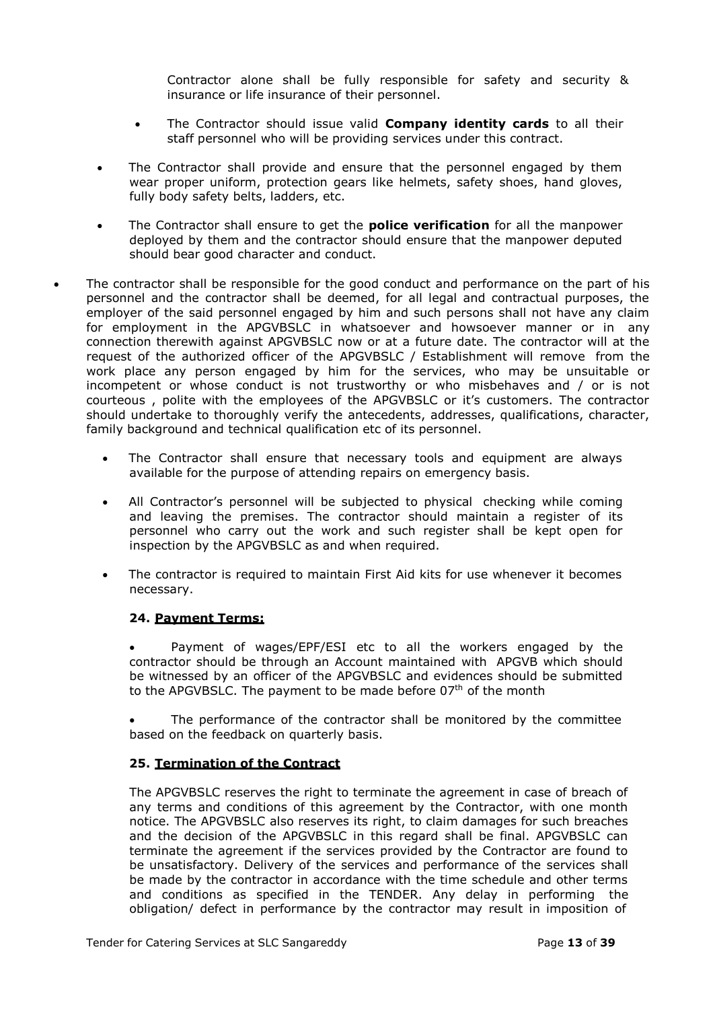Contractor alone shall be fully responsible for safety and security & insurance or life insurance of their personnel.

- The Contractor should issue valid **Company identity cards** to all their staff personnel who will be providing services under this contract.
- The Contractor shall provide and ensure that the personnel engaged by them wear proper uniform, protection gears like helmets, safety shoes, hand gloves, fully body safety belts, ladders, etc.
- The Contractor shall ensure to get the **police verification** for all the manpower deployed by them and the contractor should ensure that the manpower deputed should bear good character and conduct.
- The contractor shall be responsible for the good conduct and performance on the part of his personnel and the contractor shall be deemed, for all legal and contractual purposes, the employer of the said personnel engaged by him and such persons shall not have any claim for employment in the APGVBSLC in whatsoever and howsoever manner or in any connection therewith against APGVBSLC now or at a future date. The contractor will at the request of the authorized officer of the APGVBSLC / Establishment will remove from the work place any person engaged by him for the services, who may be unsuitable or incompetent or whose conduct is not trustworthy or who misbehaves and / or is not courteous , polite with the employees of the APGVBSLC or it's customers. The contractor should undertake to thoroughly verify the antecedents, addresses, qualifications, character, family background and technical qualification etc of its personnel.
	- The Contractor shall ensure that necessary tools and equipment are always available for the purpose of attending repairs on emergency basis.
	- All Contractor's personnel will be subjected to physical checking while coming and leaving the premises. The contractor should maintain a register of its personnel who carry out the work and such register shall be kept open for inspection by the APGVBSLC as and when required.
	- The contractor is required to maintain First Aid kits for use whenever it becomes necessary.

# **24. Payment Terms:**

 Payment of wages/EPF/ESI etc to all the workers engaged by the contractor should be through an Account maintained with APGVB which should be witnessed by an officer of the APGVBSLC and evidences should be submitted to the APGVBSLC. The payment to be made before  $07<sup>th</sup>$  of the month

 The performance of the contractor shall be monitored by the committee based on the feedback on quarterly basis.

#### **25. Termination of the Contract**

The APGVBSLC reserves the right to terminate the agreement in case of breach of any terms and conditions of this agreement by the Contractor, with one month notice. The APGVBSLC also reserves its right, to claim damages for such breaches and the decision of the APGVBSLC in this regard shall be final. APGVBSLC can terminate the agreement if the services provided by the Contractor are found to be unsatisfactory. Delivery of the services and performance of the services shall be made by the contractor in accordance with the time schedule and other terms and conditions as specified in the TENDER. Any delay in performing the obligation/ defect in performance by the contractor may result in imposition of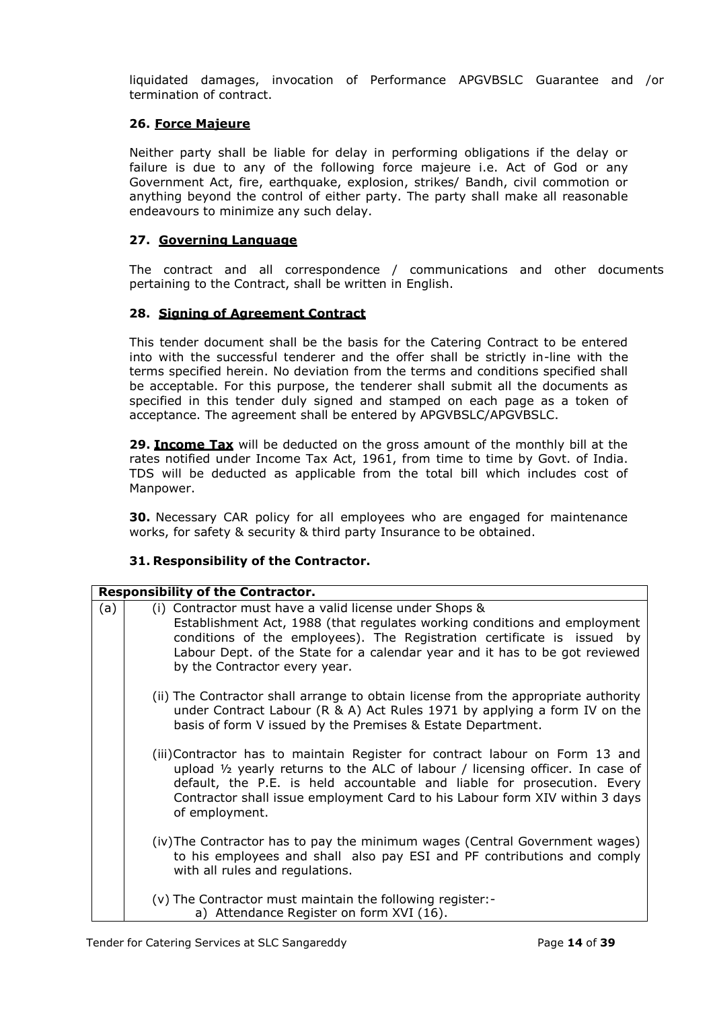liquidated damages, invocation of Performance APGVBSLC Guarantee and /or termination of contract.

#### **26. Force Majeure**

Neither party shall be liable for delay in performing obligations if the delay or failure is due to any of the following force majeure i.e. Act of God or any Government Act, fire, earthquake, explosion, strikes/ Bandh, civil commotion or anything beyond the control of either party. The party shall make all reasonable endeavours to minimize any such delay.

# **27. Governing Language**

The contract and all correspondence / communications and other documents pertaining to the Contract, shall be written in English.

### **28. Signing of Agreement Contract**

This tender document shall be the basis for the Catering Contract to be entered into with the successful tenderer and the offer shall be strictly in-line with the terms specified herein. No deviation from the terms and conditions specified shall be acceptable. For this purpose, the tenderer shall submit all the documents as specified in this tender duly signed and stamped on each page as a token of acceptance. The agreement shall be entered by APGVBSLC/APGVBSLC.

**29. Income Tax** will be deducted on the gross amount of the monthly bill at the rates notified under Income Tax Act, 1961, from time to time by Govt. of India. TDS will be deducted as applicable from the total bill which includes cost of Manpower.

**30.** Necessary CAR policy for all employees who are engaged for maintenance works, for safety & security & third party Insurance to be obtained.

#### **31. Responsibility of the Contractor.**

|     | <b>Responsibility of the Contractor.</b>                                                                                                                                                                                                                                                                                                            |
|-----|-----------------------------------------------------------------------------------------------------------------------------------------------------------------------------------------------------------------------------------------------------------------------------------------------------------------------------------------------------|
| (a) | (i) Contractor must have a valid license under Shops &<br>Establishment Act, 1988 (that regulates working conditions and employment<br>conditions of the employees). The Registration certificate is issued by<br>Labour Dept. of the State for a calendar year and it has to be got reviewed<br>by the Contractor every year.                      |
|     | (ii) The Contractor shall arrange to obtain license from the appropriate authority<br>under Contract Labour (R & A) Act Rules 1971 by applying a form IV on the<br>basis of form V issued by the Premises & Estate Department.                                                                                                                      |
|     | (iii)Contractor has to maintain Register for contract labour on Form 13 and<br>upload $\frac{1}{2}$ yearly returns to the ALC of labour / licensing officer. In case of<br>default, the P.E. is held accountable and liable for prosecution. Every<br>Contractor shall issue employment Card to his Labour form XIV within 3 days<br>of employment. |
|     | (iv) The Contractor has to pay the minimum wages (Central Government wages)<br>to his employees and shall also pay ESI and PF contributions and comply<br>with all rules and regulations.                                                                                                                                                           |
|     | (v) The Contractor must maintain the following register:-<br>a) Attendance Register on form XVI (16).                                                                                                                                                                                                                                               |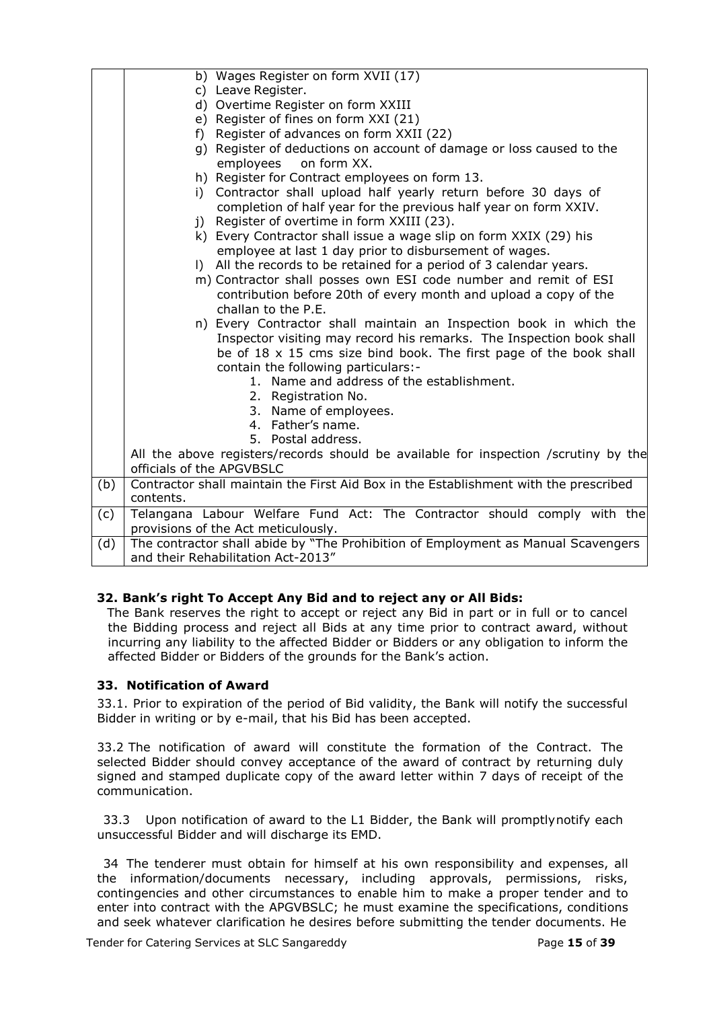|     | b) Wages Register on form XVII (17)                                                              |  |  |  |  |
|-----|--------------------------------------------------------------------------------------------------|--|--|--|--|
|     | c) Leave Register.                                                                               |  |  |  |  |
|     | d) Overtime Register on form XXIII                                                               |  |  |  |  |
|     | e) Register of fines on form XXI (21)                                                            |  |  |  |  |
|     | Register of advances on form XXII (22)<br>f)                                                     |  |  |  |  |
|     | g) Register of deductions on account of damage or loss caused to the<br>employees<br>on form XX. |  |  |  |  |
|     | h) Register for Contract employees on form 13.                                                   |  |  |  |  |
|     | i) Contractor shall upload half yearly return before 30 days of                                  |  |  |  |  |
|     | completion of half year for the previous half year on form XXIV.                                 |  |  |  |  |
|     | Register of overtime in form XXIII (23).<br>j)                                                   |  |  |  |  |
|     | k) Every Contractor shall issue a wage slip on form XXIX (29) his                                |  |  |  |  |
|     | employee at last 1 day prior to disbursement of wages.                                           |  |  |  |  |
|     | I) All the records to be retained for a period of 3 calendar years.                              |  |  |  |  |
|     | m) Contractor shall posses own ESI code number and remit of ESI                                  |  |  |  |  |
|     | contribution before 20th of every month and upload a copy of the                                 |  |  |  |  |
|     | challan to the P.E.                                                                              |  |  |  |  |
|     | n) Every Contractor shall maintain an Inspection book in which the                               |  |  |  |  |
|     | Inspector visiting may record his remarks. The Inspection book shall                             |  |  |  |  |
|     | be of 18 x 15 cms size bind book. The first page of the book shall                               |  |  |  |  |
|     | contain the following particulars:-                                                              |  |  |  |  |
|     | 1. Name and address of the establishment.                                                        |  |  |  |  |
|     | 2. Registration No.                                                                              |  |  |  |  |
|     | 3. Name of employees.                                                                            |  |  |  |  |
|     | 4. Father's name.                                                                                |  |  |  |  |
|     | 5. Postal address.                                                                               |  |  |  |  |
|     | All the above registers/records should be available for inspection /scrutiny by the              |  |  |  |  |
|     | officials of the APGVBSLC                                                                        |  |  |  |  |
| (b) | Contractor shall maintain the First Aid Box in the Establishment with the prescribed             |  |  |  |  |
|     | contents.                                                                                        |  |  |  |  |
| (c) | Telangana Labour Welfare Fund Act: The Contractor should comply with the                         |  |  |  |  |
|     | provisions of the Act meticulously.                                                              |  |  |  |  |
| (d) | The contractor shall abide by "The Prohibition of Employment as Manual Scavengers                |  |  |  |  |
|     | and their Rehabilitation Act-2013"                                                               |  |  |  |  |

# **32. Bank"s right To Accept Any Bid and to reject any or All Bids:**

The Bank reserves the right to accept or reject any Bid in part or in full or to cancel the Bidding process and reject all Bids at any time prior to contract award, without incurring any liability to the affected Bidder or Bidders or any obligation to inform the affected Bidder or Bidders of the grounds for the Bank's action.

# **33. Notification of Award**

33.1. Prior to expiration of the period of Bid validity, the Bank will notify the successful Bidder in writing or by e-mail, that his Bid has been accepted.

33.2 The notification of award will constitute the formation of the Contract. The selected Bidder should convey acceptance of the award of contract by returning duly signed and stamped duplicate copy of the award letter within 7 days of receipt of the communication.

33.3 Upon notification of award to the L1 Bidder, the Bank will promptlynotify each unsuccessful Bidder and will discharge its EMD.

34 The tenderer must obtain for himself at his own responsibility and expenses, all the information/documents necessary, including approvals, permissions, risks, contingencies and other circumstances to enable him to make a proper tender and to enter into contract with the APGVBSLC; he must examine the specifications, conditions and seek whatever clarification he desires before submitting the tender documents. He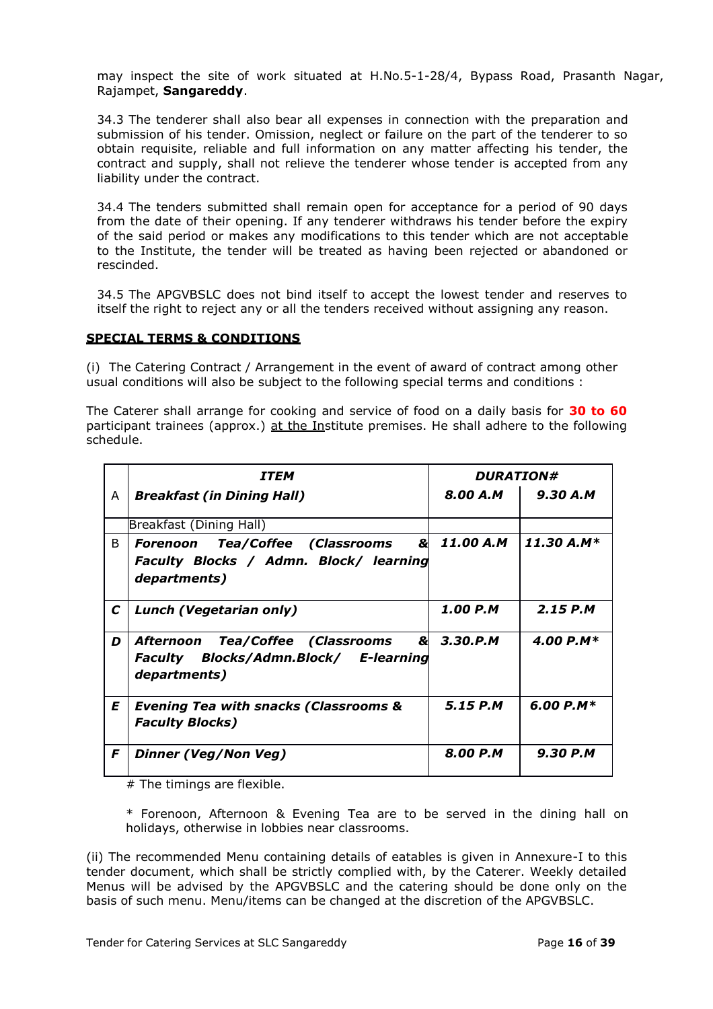may inspect the site of work situated at H.No.5-1-28/4, Bypass Road, Prasanth Nagar, Rajampet, **Sangareddy**.

34.3 The tenderer shall also bear all expenses in connection with the preparation and submission of his tender. Omission, neglect or failure on the part of the tenderer to so obtain requisite, reliable and full information on any matter affecting his tender, the contract and supply, shall not relieve the tenderer whose tender is accepted from any liability under the contract.

34.4 The tenders submitted shall remain open for acceptance for a period of 90 days from the date of their opening. If any tenderer withdraws his tender before the expiry of the said period or makes any modifications to this tender which are not acceptable to the Institute, the tender will be treated as having been rejected or abandoned or rescinded.

34.5 The APGVBSLC does not bind itself to accept the lowest tender and reserves to itself the right to reject any or all the tenders received without assigning any reason.

#### **SPECIAL TERMS & CONDITIONS**

(i) The Catering Contract / Arrangement in the event of award of contract among other usual conditions will also be subject to the following special terms and conditions :

The Caterer shall arrange for cooking and service of food on a daily basis for **30 to 60** participant trainees (approx.) at the Institute premises. He shall adhere to the following schedule.

|             | <b>ITEM</b>                                                                               | <b>DURATION#</b> |              |
|-------------|-------------------------------------------------------------------------------------------|------------------|--------------|
| A           | <b>Breakfast (in Dining Hall)</b>                                                         | $8.00 A.M$       | 9.30 A.M     |
|             | Breakfast (Dining Hall)                                                                   |                  |              |
| B           | &<br><b>Forenoon Tea/Coffee (Classrooms</b>                                               | 11.00 A.M        | $11.30 A.M*$ |
|             | Faculty Blocks / Admn. Block/ learning<br>departments)                                    |                  |              |
| $\mathbf C$ | Lunch (Vegetarian only)                                                                   | 1.00 P.M         | $2.15$ P.M   |
| D           | Afternoon Tea/Coffee (Classrooms<br>Faculty Blocks/Admn.Block/ E-learning<br>departments) | & 3.30.P.M       | 4.00 P.M*    |
| E           | <b>Evening Tea with snacks (Classrooms &amp;</b><br><b>Faculty Blocks)</b>                | 5.15 P.M         | 6.00 $P.M*$  |
| F           | Dinner (Veg/Non Veg)                                                                      | 8.00 P.M         | 9.30 P.M     |

# The timings are flexible.

\* Forenoon, Afternoon & Evening Tea are to be served in the dining hall on holidays, otherwise in lobbies near classrooms.

(ii) The recommended Menu containing details of eatables is given in Annexure-I to this tender document, which shall be strictly complied with, by the Caterer. Weekly detailed Menus will be advised by the APGVBSLC and the catering should be done only on the basis of such menu. Menu/items can be changed at the discretion of the APGVBSLC.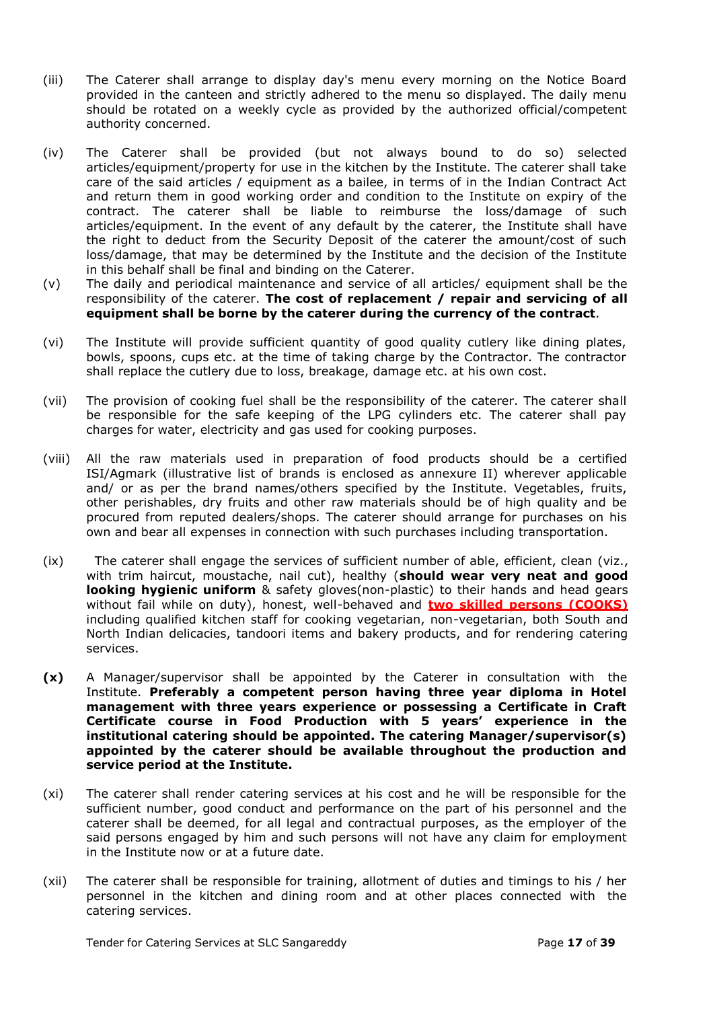- (iii) The Caterer shall arrange to display day's menu every morning on the Notice Board provided in the canteen and strictly adhered to the menu so displayed. The daily menu should be rotated on a weekly cycle as provided by the authorized official/competent authority concerned.
- (iv) The Caterer shall be provided (but not always bound to do so) selected articles/equipment/property for use in the kitchen by the Institute. The caterer shall take care of the said articles / equipment as a bailee, in terms of in the Indian Contract Act and return them in good working order and condition to the Institute on expiry of the contract. The caterer shall be liable to reimburse the loss/damage of such articles/equipment. In the event of any default by the caterer, the Institute shall have the right to deduct from the Security Deposit of the caterer the amount/cost of such loss/damage, that may be determined by the Institute and the decision of the Institute in this behalf shall be final and binding on the Caterer.
- (v) The daily and periodical maintenance and service of all articles/ equipment shall be the responsibility of the caterer. **The cost of replacement / repair and servicing of all equipment shall be borne by the caterer during the currency of the contract**.
- (vi) The Institute will provide sufficient quantity of good quality cutlery like dining plates, bowls, spoons, cups etc. at the time of taking charge by the Contractor. The contractor shall replace the cutlery due to loss, breakage, damage etc. at his own cost.
- (vii) The provision of cooking fuel shall be the responsibility of the caterer. The caterer shall be responsible for the safe keeping of the LPG cylinders etc. The caterer shall pay charges for water, electricity and gas used for cooking purposes.
- (viii) All the raw materials used in preparation of food products should be a certified ISI/Agmark (illustrative list of brands is enclosed as annexure II) wherever applicable and/ or as per the brand names/others specified by the Institute. Vegetables, fruits, other perishables, dry fruits and other raw materials should be of high quality and be procured from reputed dealers/shops. The caterer should arrange for purchases on his own and bear all expenses in connection with such purchases including transportation.
- (ix) The caterer shall engage the services of sufficient number of able, efficient, clean (viz., with trim haircut, moustache, nail cut), healthy (**should wear very neat and good looking hygienic uniform** & safety gloves(non-plastic) to their hands and head gears without fail while on duty), honest, well-behaved and **two skilled persons (COOKS)** including qualified kitchen staff for cooking vegetarian, non-vegetarian, both South and North Indian delicacies, tandoori items and bakery products, and for rendering catering services.
- **(x)** A Manager/supervisor shall be appointed by the Caterer in consultation with the Institute. **Preferably a competent person having three year diploma in Hotel management with three years experience or possessing a Certificate in Craft Certificate course in Food Production with 5 years" experience in the institutional catering should be appointed. The catering Manager/supervisor(s) appointed by the caterer should be available throughout the production and service period at the Institute.**
- (xi) The caterer shall render catering services at his cost and he will be responsible for the sufficient number, good conduct and performance on the part of his personnel and the caterer shall be deemed, for all legal and contractual purposes, as the employer of the said persons engaged by him and such persons will not have any claim for employment in the Institute now or at a future date.
- (xii) The caterer shall be responsible for training, allotment of duties and timings to his / her personnel in the kitchen and dining room and at other places connected with the catering services.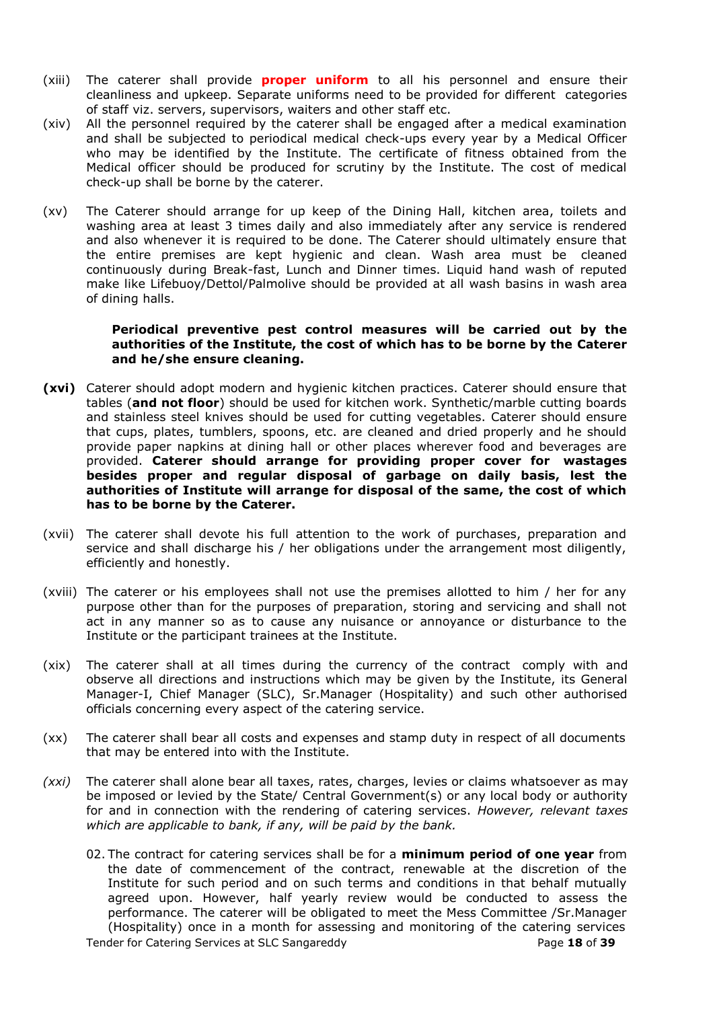- (xiii) The caterer shall provide **proper uniform** to all his personnel and ensure their cleanliness and upkeep. Separate uniforms need to be provided for different categories of staff viz. servers, supervisors, waiters and other staff etc.
- (xiv) All the personnel required by the caterer shall be engaged after a medical examination and shall be subjected to periodical medical check-ups every year by a Medical Officer who may be identified by the Institute. The certificate of fitness obtained from the Medical officer should be produced for scrutiny by the Institute. The cost of medical check-up shall be borne by the caterer.
- (xv) The Caterer should arrange for up keep of the Dining Hall, kitchen area, toilets and washing area at least 3 times daily and also immediately after any service is rendered and also whenever it is required to be done. The Caterer should ultimately ensure that the entire premises are kept hygienic and clean. Wash area must be cleaned continuously during Break-fast, Lunch and Dinner times. Liquid hand wash of reputed make like Lifebuoy/Dettol/Palmolive should be provided at all wash basins in wash area of dining halls.

#### **Periodical preventive pest control measures will be carried out by the authorities of the Institute, the cost of which has to be borne by the Caterer and he/she ensure cleaning.**

- **(xvi)** Caterer should adopt modern and hygienic kitchen practices. Caterer should ensure that tables (**and not floor**) should be used for kitchen work. Synthetic/marble cutting boards and stainless steel knives should be used for cutting vegetables. Caterer should ensure that cups, plates, tumblers, spoons, etc. are cleaned and dried properly and he should provide paper napkins at dining hall or other places wherever food and beverages are provided. **Caterer should arrange for providing proper cover for wastages besides proper and regular disposal of garbage on daily basis, lest the authorities of Institute will arrange for disposal of the same, the cost of which has to be borne by the Caterer.**
- (xvii) The caterer shall devote his full attention to the work of purchases, preparation and service and shall discharge his / her obligations under the arrangement most diligently, efficiently and honestly.
- (xviii) The caterer or his employees shall not use the premises allotted to him / her for any purpose other than for the purposes of preparation, storing and servicing and shall not act in any manner so as to cause any nuisance or annoyance or disturbance to the Institute or the participant trainees at the Institute.
- (xix) The caterer shall at all times during the currency of the contract comply with and observe all directions and instructions which may be given by the Institute, its General Manager-I, Chief Manager (SLC), Sr.Manager (Hospitality) and such other authorised officials concerning every aspect of the catering service.
- (xx) The caterer shall bear all costs and expenses and stamp duty in respect of all documents that may be entered into with the Institute.
- *(xxi)* The caterer shall alone bear all taxes, rates, charges, levies or claims whatsoever as may be imposed or levied by the State/ Central Government(s) or any local body or authority for and in connection with the rendering of catering services. *However, relevant taxes which are applicable to bank, if any, will be paid by the bank.*
	- Tender for Catering Services at SLC Sangareddy Page **18** of **39** 02. The contract for catering services shall be for a **minimum period of one year** from the date of commencement of the contract, renewable at the discretion of the Institute for such period and on such terms and conditions in that behalf mutually agreed upon. However, half yearly review would be conducted to assess the performance. The caterer will be obligated to meet the Mess Committee /Sr.Manager (Hospitality) once in a month for assessing and monitoring of the catering services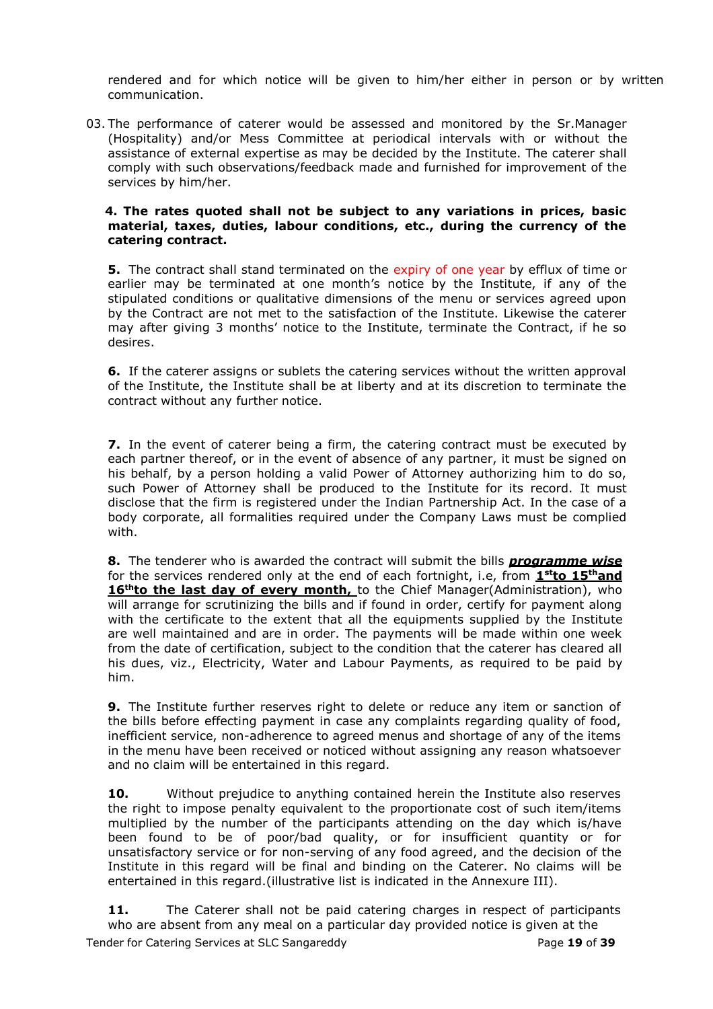rendered and for which notice will be given to him/her either in person or by written communication.

03. The performance of caterer would be assessed and monitored by the Sr.Manager (Hospitality) and/or Mess Committee at periodical intervals with or without the assistance of external expertise as may be decided by the Institute. The caterer shall comply with such observations/feedback made and furnished for improvement of the services by him/her.

#### **4. The rates quoted shall not be subject to any variations in prices, basic material, taxes, duties, labour conditions, etc., during the currency of the catering contract.**

**5.** The contract shall stand terminated on the expiry of one year by efflux of time or earlier may be terminated at one month's notice by the Institute, if any of the stipulated conditions or qualitative dimensions of the menu or services agreed upon by the Contract are not met to the satisfaction of the Institute. Likewise the caterer may after giving 3 months' notice to the Institute, terminate the Contract, if he so desires.

**6.** If the caterer assigns or sublets the catering services without the written approval of the Institute, the Institute shall be at liberty and at its discretion to terminate the contract without any further notice.

**7.** In the event of caterer being a firm, the catering contract must be executed by each partner thereof, or in the event of absence of any partner, it must be signed on his behalf, by a person holding a valid Power of Attorney authorizing him to do so, such Power of Attorney shall be produced to the Institute for its record. It must disclose that the firm is registered under the Indian Partnership Act. In the case of a body corporate, all formalities required under the Company Laws must be complied with.

**8.** The tenderer who is awarded the contract will submit the bills *programme wise* for the services rendered only at the end of each fortnight, i.e, from **1stto 15thand 16<sup>th</sup>to the last day of every month,** to the Chief Manager(Administration), who will arrange for scrutinizing the bills and if found in order, certify for payment along with the certificate to the extent that all the equipments supplied by the Institute are well maintained and are in order. The payments will be made within one week from the date of certification, subject to the condition that the caterer has cleared all his dues, viz., Electricity, Water and Labour Payments, as required to be paid by him.

**9.** The Institute further reserves right to delete or reduce any item or sanction of the bills before effecting payment in case any complaints regarding quality of food, inefficient service, non-adherence to agreed menus and shortage of any of the items in the menu have been received or noticed without assigning any reason whatsoever and no claim will be entertained in this regard.

**10.** Without prejudice to anything contained herein the Institute also reserves the right to impose penalty equivalent to the proportionate cost of such item/items multiplied by the number of the participants attending on the day which is/have been found to be of poor/bad quality, or for insufficient quantity or for unsatisfactory service or for non-serving of any food agreed, and the decision of the Institute in this regard will be final and binding on the Caterer. No claims will be entertained in this regard.(illustrative list is indicated in the Annexure III).

Tender for Catering Services at SLC Sangareddy Page **19** of **39** 11. The Caterer shall not be paid catering charges in respect of participants who are absent from any meal on a particular day provided notice is given at the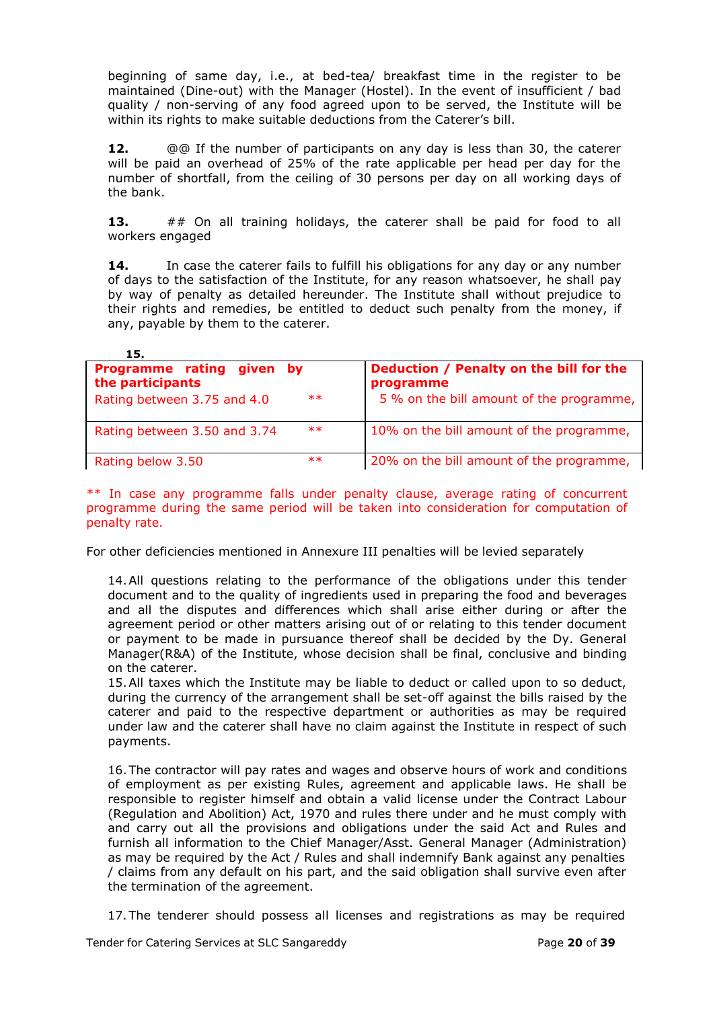beginning of same day, i.e., at bed-tea/ breakfast time in the register to be maintained (Dine-out) with the Manager (Hostel). In the event of insufficient / bad quality / non-serving of any food agreed upon to be served, the Institute will be within its rights to make suitable deductions from the Caterer's bill.

**12.** @@ If the number of participants on any day is less than 30, the caterer will be paid an overhead of 25% of the rate applicable per head per day for the number of shortfall, from the ceiling of 30 persons per day on all working days of the bank.

**13.** ## On all training holidays, the caterer shall be paid for food to all workers engaged

**14.** In case the caterer fails to fulfill his obligations for any day or any number of days to the satisfaction of the Institute, for any reason whatsoever, he shall pay by way of penalty as detailed hereunder. The Institute shall without prejudice to their rights and remedies, be entitled to deduct such penalty from the money, if any, payable by them to the caterer.

| 15.                                                                                            |                                                                                                  |
|------------------------------------------------------------------------------------------------|--------------------------------------------------------------------------------------------------|
| <b>Programme rating</b><br>given by<br>the participants<br>$**$<br>Rating between 3.75 and 4.0 | Deduction / Penalty on the bill for the<br>programme<br>5 % on the bill amount of the programme, |
| $**$<br>Rating between 3.50 and 3.74                                                           | 10% on the bill amount of the programme,                                                         |
| $**$<br>Rating below 3.50                                                                      | 20% on the bill amount of the programme,                                                         |

\*\* In case any programme falls under penalty clause, average rating of concurrent programme during the same period will be taken into consideration for computation of penalty rate.

For other deficiencies mentioned in Annexure III penalties will be levied separately

14.All questions relating to the performance of the obligations under this tender document and to the quality of ingredients used in preparing the food and beverages and all the disputes and differences which shall arise either during or after the agreement period or other matters arising out of or relating to this tender document or payment to be made in pursuance thereof shall be decided by the Dy. General Manager(R&A) of the Institute, whose decision shall be final, conclusive and binding on the caterer.

15.All taxes which the Institute may be liable to deduct or called upon to so deduct, during the currency of the arrangement shall be set-off against the bills raised by the caterer and paid to the respective department or authorities as may be required under law and the caterer shall have no claim against the Institute in respect of such payments.

16.The contractor will pay rates and wages and observe hours of work and conditions of employment as per existing Rules, agreement and applicable laws. He shall be responsible to register himself and obtain a valid license under the Contract Labour (Regulation and Abolition) Act, 1970 and rules there under and he must comply with and carry out all the provisions and obligations under the said Act and Rules and furnish all information to the Chief Manager/Asst. General Manager (Administration) as may be required by the Act / Rules and shall indemnify Bank against any penalties / claims from any default on his part, and the said obligation shall survive even after the termination of the agreement.

17.The tenderer should possess all licenses and registrations as may be required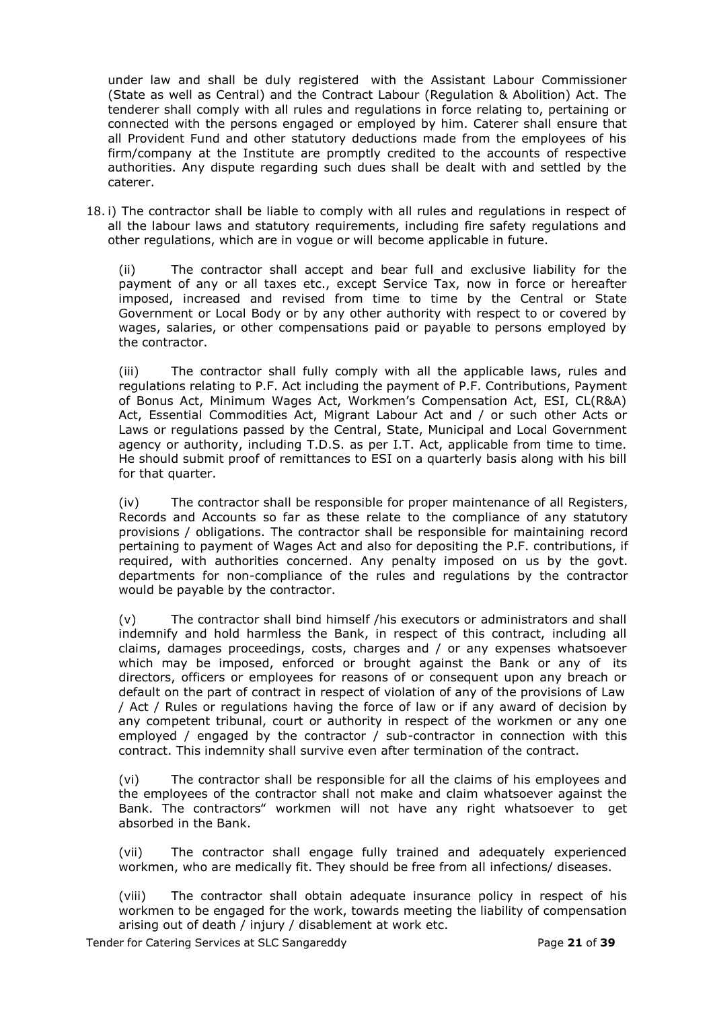under law and shall be duly registered with the Assistant Labour Commissioner (State as well as Central) and the Contract Labour (Regulation & Abolition) Act. The tenderer shall comply with all rules and regulations in force relating to, pertaining or connected with the persons engaged or employed by him. Caterer shall ensure that all Provident Fund and other statutory deductions made from the employees of his firm/company at the Institute are promptly credited to the accounts of respective authorities. Any dispute regarding such dues shall be dealt with and settled by the caterer.

18. i) The contractor shall be liable to comply with all rules and regulations in respect of all the labour laws and statutory requirements, including fire safety regulations and other regulations, which are in vogue or will become applicable in future.

(ii) The contractor shall accept and bear full and exclusive liability for the payment of any or all taxes etc., except Service Tax, now in force or hereafter imposed, increased and revised from time to time by the Central or State Government or Local Body or by any other authority with respect to or covered by wages, salaries, or other compensations paid or payable to persons employed by the contractor.

(iii) The contractor shall fully comply with all the applicable laws, rules and regulations relating to P.F. Act including the payment of P.F. Contributions, Payment of Bonus Act, Minimum Wages Act, Workmen's Compensation Act, ESI, CL(R&A) Act, Essential Commodities Act, Migrant Labour Act and / or such other Acts or Laws or regulations passed by the Central, State, Municipal and Local Government agency or authority, including T.D.S. as per I.T. Act, applicable from time to time. He should submit proof of remittances to ESI on a quarterly basis along with his bill for that quarter.

(iv) The contractor shall be responsible for proper maintenance of all Registers, Records and Accounts so far as these relate to the compliance of any statutory provisions / obligations. The contractor shall be responsible for maintaining record pertaining to payment of Wages Act and also for depositing the P.F. contributions, if required, with authorities concerned. Any penalty imposed on us by the govt. departments for non-compliance of the rules and regulations by the contractor would be payable by the contractor.

(v) The contractor shall bind himself /his executors or administrators and shall indemnify and hold harmless the Bank, in respect of this contract, including all claims, damages proceedings, costs, charges and / or any expenses whatsoever which may be imposed, enforced or brought against the Bank or any of its directors, officers or employees for reasons of or consequent upon any breach or default on the part of contract in respect of violation of any of the provisions of Law / Act / Rules or regulations having the force of law or if any award of decision by any competent tribunal, court or authority in respect of the workmen or any one employed / engaged by the contractor / sub-contractor in connection with this contract. This indemnity shall survive even after termination of the contract.

(vi) The contractor shall be responsible for all the claims of his employees and the employees of the contractor shall not make and claim whatsoever against the Bank. The contractors" workmen will not have any right whatsoever to get absorbed in the Bank.

(vii) The contractor shall engage fully trained and adequately experienced workmen, who are medically fit. They should be free from all infections/ diseases.

(viii) The contractor shall obtain adequate insurance policy in respect of his workmen to be engaged for the work, towards meeting the liability of compensation arising out of death / injury / disablement at work etc.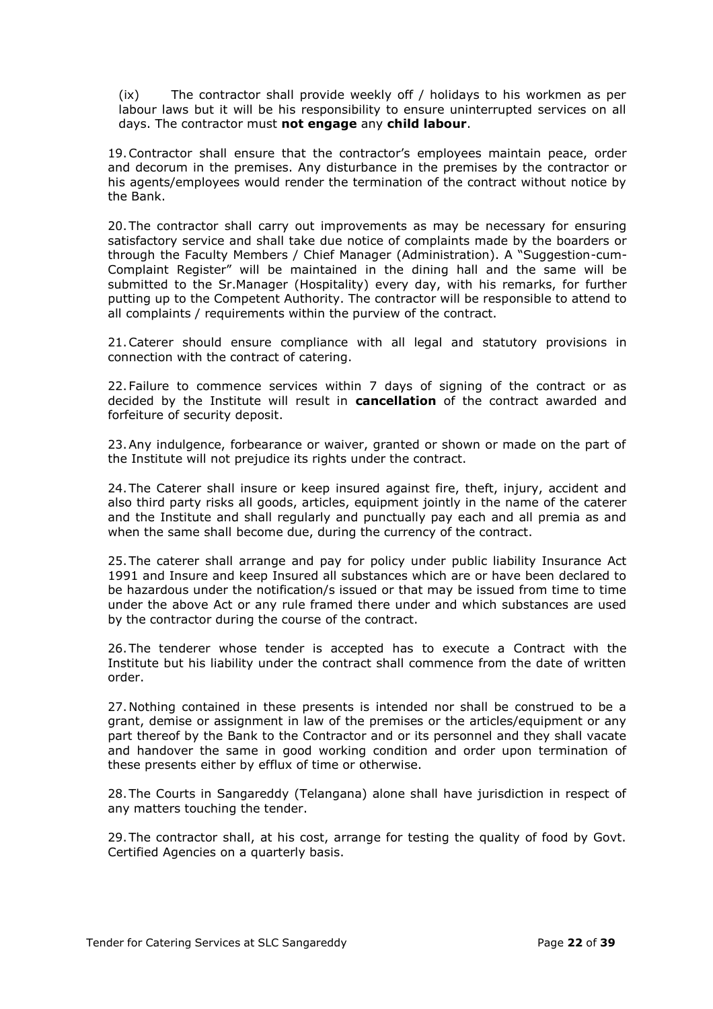(ix) The contractor shall provide weekly off / holidays to his workmen as per labour laws but it will be his responsibility to ensure uninterrupted services on all days. The contractor must **not engage** any **child labour**.

19.Contractor shall ensure that the contractor's employees maintain peace, order and decorum in the premises. Any disturbance in the premises by the contractor or his agents/employees would render the termination of the contract without notice by the Bank.

20.The contractor shall carry out improvements as may be necessary for ensuring satisfactory service and shall take due notice of complaints made by the boarders or through the Faculty Members / Chief Manager (Administration). A "Suggestion-cum-Complaint Register" will be maintained in the dining hall and the same will be submitted to the Sr.Manager (Hospitality) every day, with his remarks, for further putting up to the Competent Authority. The contractor will be responsible to attend to all complaints / requirements within the purview of the contract.

21.Caterer should ensure compliance with all legal and statutory provisions in connection with the contract of catering.

22.Failure to commence services within 7 days of signing of the contract or as decided by the Institute will result in **cancellation** of the contract awarded and forfeiture of security deposit.

23.Any indulgence, forbearance or waiver, granted or shown or made on the part of the Institute will not prejudice its rights under the contract.

24.The Caterer shall insure or keep insured against fire, theft, injury, accident and also third party risks all goods, articles, equipment jointly in the name of the caterer and the Institute and shall regularly and punctually pay each and all premia as and when the same shall become due, during the currency of the contract.

25.The caterer shall arrange and pay for policy under public liability Insurance Act 1991 and Insure and keep Insured all substances which are or have been declared to be hazardous under the notification/s issued or that may be issued from time to time under the above Act or any rule framed there under and which substances are used by the contractor during the course of the contract.

26.The tenderer whose tender is accepted has to execute a Contract with the Institute but his liability under the contract shall commence from the date of written order.

27.Nothing contained in these presents is intended nor shall be construed to be a grant, demise or assignment in law of the premises or the articles/equipment or any part thereof by the Bank to the Contractor and or its personnel and they shall vacate and handover the same in good working condition and order upon termination of these presents either by efflux of time or otherwise.

28.The Courts in Sangareddy (Telangana) alone shall have jurisdiction in respect of any matters touching the tender.

29.The contractor shall, at his cost, arrange for testing the quality of food by Govt. Certified Agencies on a quarterly basis.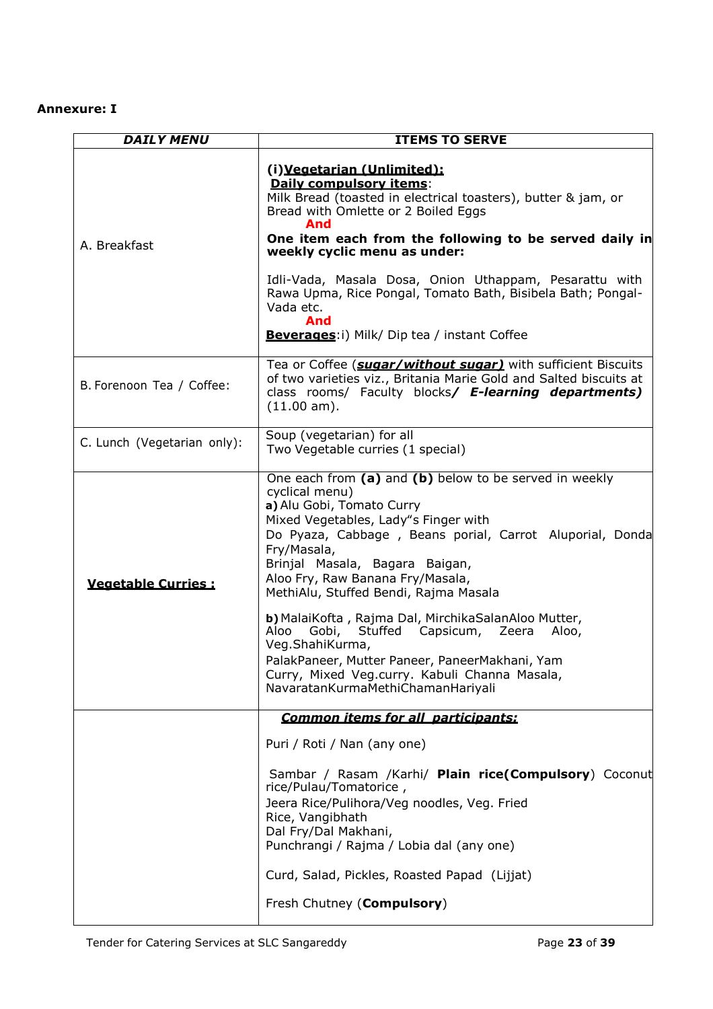# **Annexure: I**

| <b>DAILY MENU</b>           | <b>ITEMS TO SERVE</b>                                                                                                                                                                                                                                                                                                                                                                                                                                                                                                                                                                                          |
|-----------------------------|----------------------------------------------------------------------------------------------------------------------------------------------------------------------------------------------------------------------------------------------------------------------------------------------------------------------------------------------------------------------------------------------------------------------------------------------------------------------------------------------------------------------------------------------------------------------------------------------------------------|
| A. Breakfast                | (i) Vegetarian (Unlimited):<br>Daily compulsory items:<br>Milk Bread (toasted in electrical toasters), butter & jam, or<br>Bread with Omlette or 2 Boiled Eggs<br>And<br>One item each from the following to be served daily in<br>weekly cyclic menu as under:<br>Idli-Vada, Masala Dosa, Onion Uthappam, Pesarattu with<br>Rawa Upma, Rice Pongal, Tomato Bath, Bisibela Bath; Pongal-<br>Vada etc.<br>And<br><b>Beverages:</b> i) Milk/ Dip tea / instant Coffee                                                                                                                                            |
| B. Forenoon Tea / Coffee:   | Tea or Coffee (suaar/without suaar) with sufficient Biscuits<br>of two varieties viz., Britania Marie Gold and Salted biscuits at<br>class rooms/ Faculty blocks/ E-learning departments)<br>(11.00 am).                                                                                                                                                                                                                                                                                                                                                                                                       |
| C. Lunch (Vegetarian only): | Soup (vegetarian) for all<br>Two Vegetable curries (1 special)                                                                                                                                                                                                                                                                                                                                                                                                                                                                                                                                                 |
| <b>Vegetable Curries:</b>   | One each from (a) and (b) below to be served in weekly<br>cyclical menu)<br>a) Alu Gobi, Tomato Curry<br>Mixed Vegetables, Lady"s Finger with<br>Do Pyaza, Cabbage, Beans porial, Carrot Aluporial, Donda<br>Fry/Masala,<br>Brinjal Masala, Bagara Baigan,<br>Aloo Fry, Raw Banana Fry/Masala,<br>MethiAlu, Stuffed Bendi, Rajma Masala<br>b) MalaiKofta, Rajma Dal, MirchikaSalanAloo Mutter,<br>Gobi,<br>Stuffed Capsicum, Zeera<br>Aloo<br>Aloo,<br>Veg.ShahiKurma,<br>PalakPaneer, Mutter Paneer, PaneerMakhani, Yam<br>Curry, Mixed Veg.curry. Kabuli Channa Masala,<br>NavaratanKurmaMethiChamanHariyali |
|                             | <b>Common items for all participants:</b><br>Puri / Roti / Nan (any one)<br>Sambar / Rasam /Karhi/ Plain rice(Compulsory) Coconut<br>rice/Pulau/Tomatorice,<br>Jeera Rice/Pulihora/Veg noodles, Veg. Fried<br>Rice, Vangibhath<br>Dal Fry/Dal Makhani,<br>Punchrangi / Rajma / Lobia dal (any one)<br>Curd, Salad, Pickles, Roasted Papad (Lijjat)<br>Fresh Chutney (Compulsory)                                                                                                                                                                                                                               |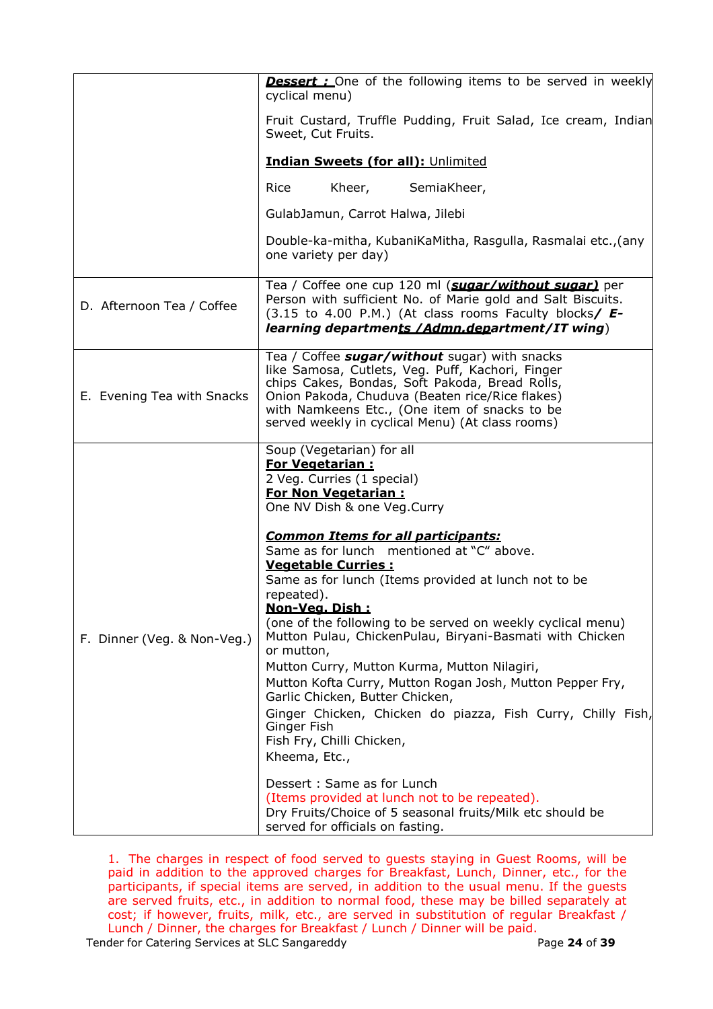|                             | <b>Dessert:</b> One of the following items to be served in weekly<br>cyclical menu)                                                                                                                                                                                                                                                                                                                                                                                                                                                                                                                                                                                                                                                                                                                                                                                                                                                                                 |  |  |
|-----------------------------|---------------------------------------------------------------------------------------------------------------------------------------------------------------------------------------------------------------------------------------------------------------------------------------------------------------------------------------------------------------------------------------------------------------------------------------------------------------------------------------------------------------------------------------------------------------------------------------------------------------------------------------------------------------------------------------------------------------------------------------------------------------------------------------------------------------------------------------------------------------------------------------------------------------------------------------------------------------------|--|--|
|                             | Fruit Custard, Truffle Pudding, Fruit Salad, Ice cream, Indian<br>Sweet, Cut Fruits.                                                                                                                                                                                                                                                                                                                                                                                                                                                                                                                                                                                                                                                                                                                                                                                                                                                                                |  |  |
|                             | <b>Indian Sweets (for all): Unlimited</b>                                                                                                                                                                                                                                                                                                                                                                                                                                                                                                                                                                                                                                                                                                                                                                                                                                                                                                                           |  |  |
|                             | Rice<br>Kheer, SemiaKheer,                                                                                                                                                                                                                                                                                                                                                                                                                                                                                                                                                                                                                                                                                                                                                                                                                                                                                                                                          |  |  |
|                             | GulabJamun, Carrot Halwa, Jilebi                                                                                                                                                                                                                                                                                                                                                                                                                                                                                                                                                                                                                                                                                                                                                                                                                                                                                                                                    |  |  |
|                             | Double-ka-mitha, KubaniKaMitha, Rasgulla, Rasmalai etc., (any<br>one variety per day)                                                                                                                                                                                                                                                                                                                                                                                                                                                                                                                                                                                                                                                                                                                                                                                                                                                                               |  |  |
| D. Afternoon Tea / Coffee   | Tea / Coffee one cup 120 ml (suaar/without suaar) per<br>Person with sufficient No. of Marie gold and Salt Biscuits.<br>$(3.15$ to 4.00 P.M.) (At class rooms Faculty blocks/ $E-$<br>learning departments / Admn.department/IT wing)                                                                                                                                                                                                                                                                                                                                                                                                                                                                                                                                                                                                                                                                                                                               |  |  |
| E. Evening Tea with Snacks  | Tea / Coffee sugar/without sugar) with snacks<br>like Samosa, Cutlets, Veg. Puff, Kachori, Finger<br>chips Cakes, Bondas, Soft Pakoda, Bread Rolls,<br>Onion Pakoda, Chuduva (Beaten rice/Rice flakes)<br>with Namkeens Etc., (One item of snacks to be<br>served weekly in cyclical Menu) (At class rooms)                                                                                                                                                                                                                                                                                                                                                                                                                                                                                                                                                                                                                                                         |  |  |
| F. Dinner (Veg. & Non-Veg.) | Soup (Vegetarian) for all<br><b>For Vegetarian:</b><br>2 Veg. Curries (1 special)<br><b>For Non Vegetarian:</b><br>One NV Dish & one Veg.Curry<br><b>Common Items for all participants:</b><br>Same as for lunch mentioned at "C" above.<br><b>Vegetable Curries:</b><br>Same as for lunch (Items provided at lunch not to be<br>repeated).<br>Non-Vea. Dish :<br>(one of the following to be served on weekly cyclical menu)<br>Mutton Pulau, ChickenPulau, Biryani-Basmati with Chicken<br>or mutton,<br>Mutton Curry, Mutton Kurma, Mutton Nilagiri,<br>Mutton Kofta Curry, Mutton Rogan Josh, Mutton Pepper Fry,<br>Garlic Chicken, Butter Chicken,<br>Ginger Chicken, Chicken do piazza, Fish Curry, Chilly Fish,<br>Ginger Fish<br>Fish Fry, Chilli Chicken,<br>Kheema, Etc.,<br>Dessert: Same as for Lunch<br>(Items provided at lunch not to be repeated).<br>Dry Fruits/Choice of 5 seasonal fruits/Milk etc should be<br>served for officials on fasting. |  |  |

1. The charges in respect of food served to guests staying in Guest Rooms, will be paid in addition to the approved charges for Breakfast, Lunch, Dinner, etc., for the participants, if special items are served, in addition to the usual menu. If the guests are served fruits, etc., in addition to normal food, these may be billed separately at cost; if however, fruits, milk, etc., are served in substitution of regular Breakfast / Lunch / Dinner, the charges for Breakfast / Lunch / Dinner will be paid.

Tender for Catering Services at SLC Sangareddy **Page 24** of 39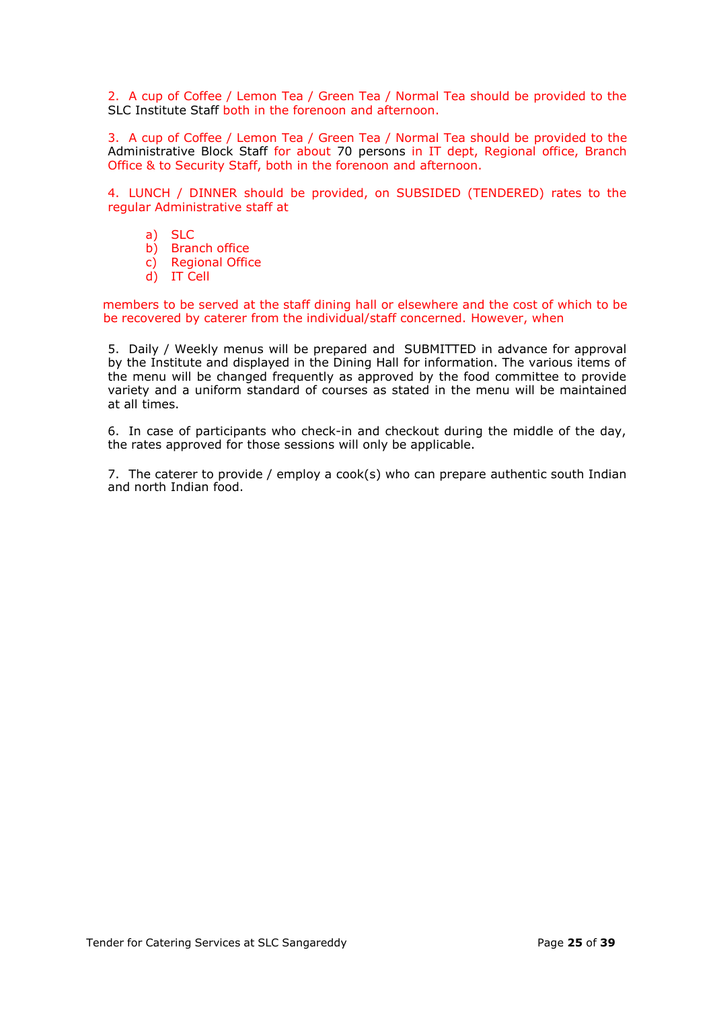2. A cup of Coffee / Lemon Tea / Green Tea / Normal Tea should be provided to the SLC Institute Staff both in the forenoon and afternoon.

3. A cup of Coffee / Lemon Tea / Green Tea / Normal Tea should be provided to the Administrative Block Staff for about 70 persons in IT dept, Regional office, Branch Office & to Security Staff, both in the forenoon and afternoon.

4. LUNCH / DINNER should be provided, on SUBSIDED (TENDERED) rates to the regular Administrative staff at

- a) SLC
- b) Branch office
- c) Regional Office
- d) IT Cell

members to be served at the staff dining hall or elsewhere and the cost of which to be be recovered by caterer from the individual/staff concerned. However, when

5. Daily / Weekly menus will be prepared and SUBMITTED in advance for approval by the Institute and displayed in the Dining Hall for information. The various items of the menu will be changed frequently as approved by the food committee to provide variety and a uniform standard of courses as stated in the menu will be maintained at all times.

6. In case of participants who check-in and checkout during the middle of the day, the rates approved for those sessions will only be applicable.

7. The caterer to provide / employ a cook(s) who can prepare authentic south Indian and north Indian food.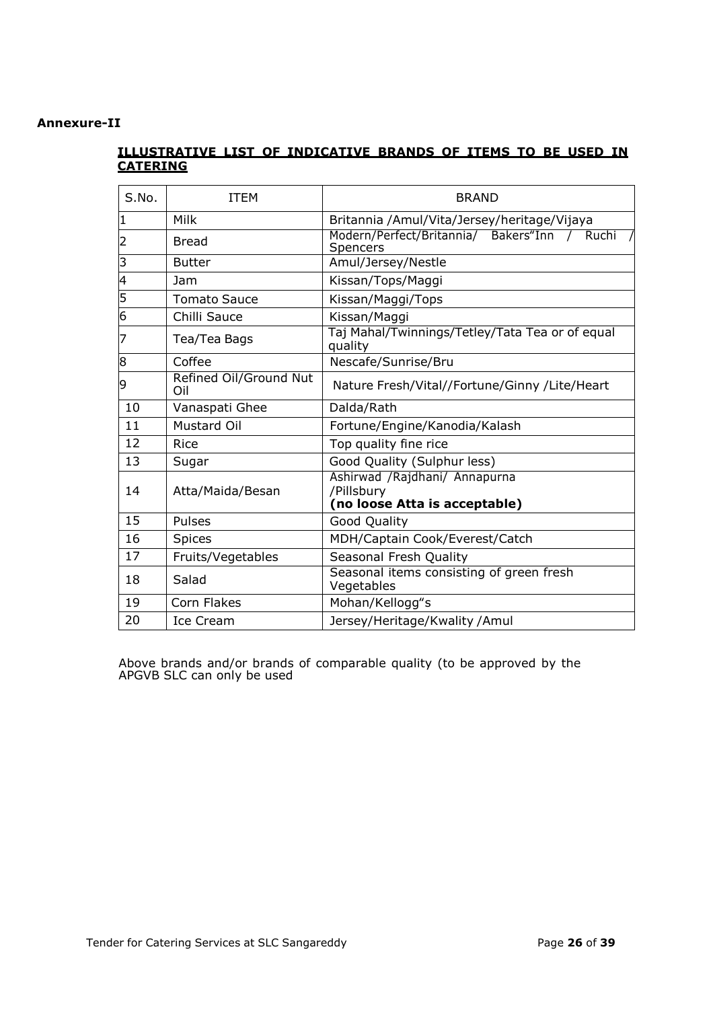## **Annexure-II**

# **ILLUSTRATIVE LIST OF INDICATIVE BRANDS OF ITEMS TO BE USED IN CATERING**

| S.No.          | <b>ITEM</b>                   | <b>BRAND</b>                                                                  |
|----------------|-------------------------------|-------------------------------------------------------------------------------|
| 1              | Milk                          | Britannia / Amul/Vita/Jersey/heritage/Vijaya                                  |
| 2              | <b>Bread</b>                  | Modern/Perfect/Britannia/ Bakers"Inn / Ruchi /<br>Spencers                    |
| $\overline{3}$ | <b>Butter</b>                 | Amul/Jersey/Nestle                                                            |
| $\overline{4}$ | Jam                           | Kissan/Tops/Maggi                                                             |
| $\overline{5}$ | <b>Tomato Sauce</b>           | Kissan/Maggi/Tops                                                             |
| $\overline{6}$ | Chilli Sauce                  | Kissan/Maggi                                                                  |
| 7              | Tea/Tea Bags                  | Taj Mahal/Twinnings/Tetley/Tata Tea or of equal<br>quality                    |
| 8              | Coffee                        | Nescafe/Sunrise/Bru                                                           |
| 9              | Refined Oil/Ground Nut<br>Oil | Nature Fresh/Vital//Fortune/Ginny /Lite/Heart                                 |
| 10             | Vanaspati Ghee                | Dalda/Rath                                                                    |
| 11             | <b>Mustard Oil</b>            | Fortune/Engine/Kanodia/Kalash                                                 |
| 12             | <b>Rice</b>                   | Top quality fine rice                                                         |
| 13             | Sugar                         | Good Quality (Sulphur less)                                                   |
| 14             | Atta/Maida/Besan              | Ashirwad / Rajdhani/ Annapurna<br>/Pillsbury<br>(no loose Atta is acceptable) |
| 15             | Pulses                        | Good Quality                                                                  |
| 16             | <b>Spices</b>                 | MDH/Captain Cook/Everest/Catch                                                |
| 17             | Fruits/Vegetables             | Seasonal Fresh Quality                                                        |
| 18             | Salad                         | Seasonal items consisting of green fresh<br>Vegetables                        |
| 19             | Corn Flakes                   | Mohan/Kellogg"s                                                               |
| 20             | Ice Cream                     | Jersey/Heritage/Kwality /Amul                                                 |

Above brands and/or brands of comparable quality (to be approved by the APGVB SLC can only be used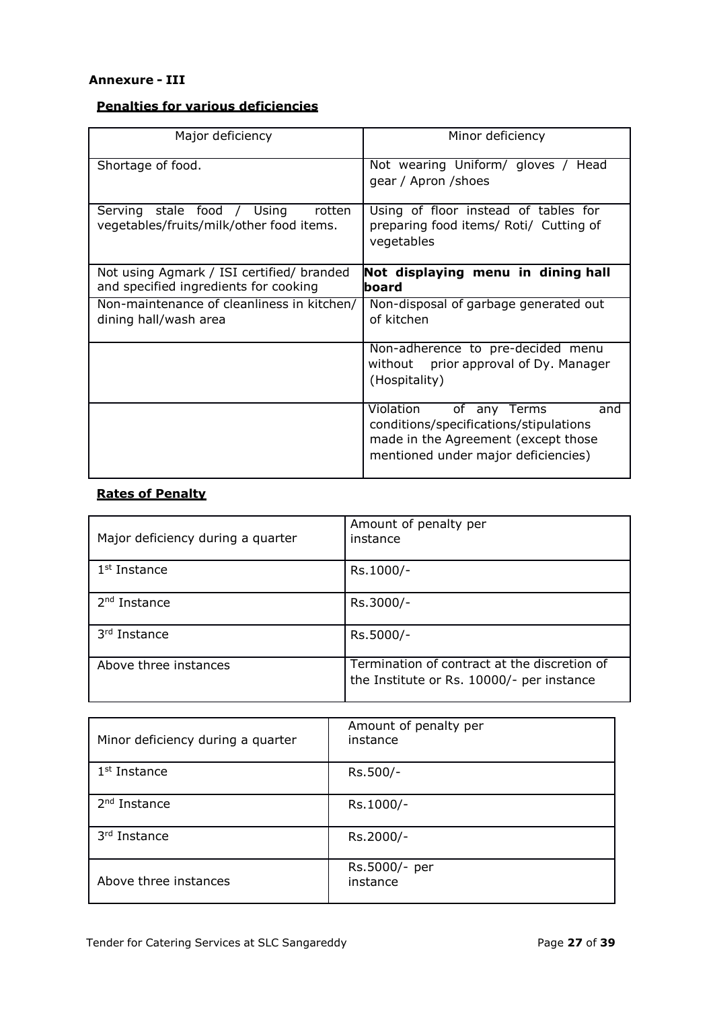#### **Annexure - III**

# **Penalties for various deficiencies**

| Major deficiency                                                                   | Minor deficiency                                                                                                                                         |
|------------------------------------------------------------------------------------|----------------------------------------------------------------------------------------------------------------------------------------------------------|
| Shortage of food.                                                                  | Not wearing Uniform/ gloves / Head<br>gear / Apron / shoes                                                                                               |
| rotten<br>Serving stale food / Using<br>vegetables/fruits/milk/other food items.   | Using of floor instead of tables for<br>preparing food items/ Roti/ Cutting of<br>vegetables                                                             |
| Not using Agmark / ISI certified/ branded<br>and specified ingredients for cooking | Not displaying menu in dining hall<br>lboard                                                                                                             |
| Non-maintenance of cleanliness in kitchen/<br>dining hall/wash area                | Non-disposal of garbage generated out<br>of kitchen                                                                                                      |
|                                                                                    | Non-adherence to pre-decided menu<br>without prior approval of Dy. Manager<br>(Hospitality)                                                              |
|                                                                                    | Violation<br>of any Terms<br>and<br>conditions/specifications/stipulations<br>made in the Agreement (except those<br>mentioned under major deficiencies) |

# **Rates of Penalty**

| Major deficiency during a quarter | Amount of penalty per<br>instance                                                         |
|-----------------------------------|-------------------------------------------------------------------------------------------|
| $1st$ Instance                    | Rs.1000/-                                                                                 |
| $2nd$ Instance                    | Rs.3000/-                                                                                 |
| 3rd Instance                      | Rs.5000/-                                                                                 |
| Above three instances             | Termination of contract at the discretion of<br>the Institute or Rs. 10000/- per instance |

| Minor deficiency during a quarter | Amount of penalty per<br>instance |
|-----------------------------------|-----------------------------------|
| $1st$ Instance                    | Rs.500/-                          |
| 2 <sup>nd</sup> Instance          | Rs.1000/-                         |
| 3rd Instance                      | Rs.2000/-                         |
| Above three instances             | Rs.5000/- per<br>instance         |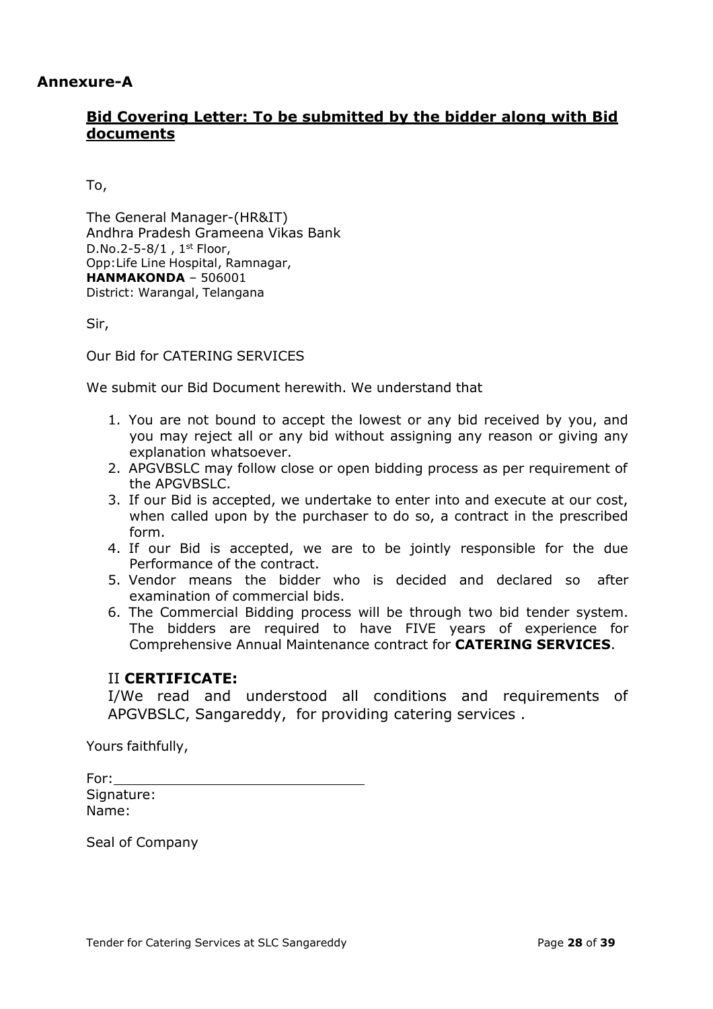# **Annexure-A**

# **Bid Covering Letter: To be submitted by the bidder along with Bid documents**

To,

The General Manager-(HR&IT) Andhra Pradesh Grameena Vikas Bank D.No.2-5-8/1 ,  $1^{\text{st}}$  Floor, Opp:Life Line Hospital, Ramnagar, **HANMAKONDA** – 506001 District: Warangal, Telangana

Sir,

Our Bid for CATERING SERVICES

We submit our Bid Document herewith. We understand that

- 1. You are not bound to accept the lowest or any bid received by you, and you may reject all or any bid without assigning any reason or giving any explanation whatsoever.
- 2. APGVBSLC may follow close or open bidding process as per requirement of the APGVBSLC.
- 3. If our Bid is accepted, we undertake to enter into and execute at our cost, when called upon by the purchaser to do so, a contract in the prescribed form.
- 4. If our Bid is accepted, we are to be jointly responsible for the due Performance of the contract.
- 5. Vendor means the bidder who is decided and declared so after examination of commercial bids.
- 6. The Commercial Bidding process will be through two bid tender system. The bidders are required to have FIVE years of experience for Comprehensive Annual Maintenance contract for **CATERING SERVICES**.

# II **CERTIFICATE:**

I/We read and understood all conditions and requirements of APGVBSLC, Sangareddy, for providing catering services .

Yours faithfully,

For: Signature: Name:

Seal of Company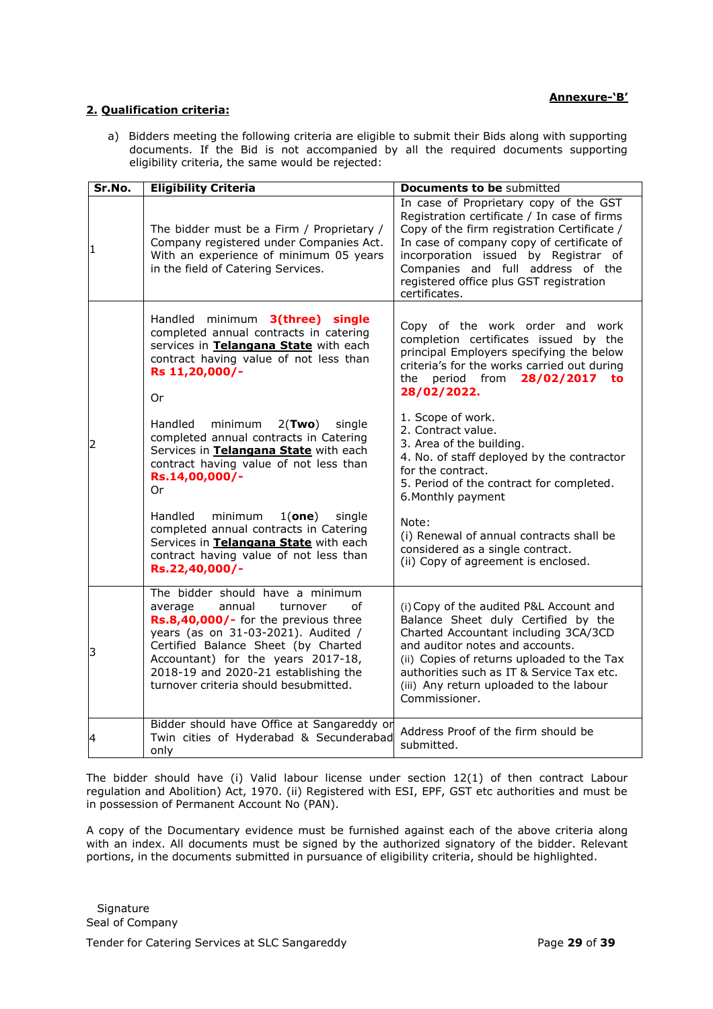#### **2. Qualification criteria:**

a) Bidders meeting the following criteria are eligible to submit their Bids along with supporting documents. If the Bid is not accompanied by all the required documents supporting eligibility criteria, the same would be rejected:

| Sr.No. | <b>Eligibility Criteria</b>                                                                                                                                                                                                                                                                                          | <b>Documents to be submitted</b>                                                                                                                                                                                                                                                                                           |
|--------|----------------------------------------------------------------------------------------------------------------------------------------------------------------------------------------------------------------------------------------------------------------------------------------------------------------------|----------------------------------------------------------------------------------------------------------------------------------------------------------------------------------------------------------------------------------------------------------------------------------------------------------------------------|
| I1     | The bidder must be a Firm / Proprietary /<br>Company registered under Companies Act.<br>With an experience of minimum 05 years<br>in the field of Catering Services.                                                                                                                                                 | In case of Proprietary copy of the GST<br>Registration certificate / In case of firms<br>Copy of the firm registration Certificate /<br>In case of company copy of certificate of<br>incorporation issued by Registrar of<br>Companies and full address of the<br>registered office plus GST registration<br>certificates. |
|        | Handled minimum 3(three) single<br>completed annual contracts in catering<br>services in Telangana State with each<br>contract having value of not less than<br>Rs 11,20,000/-<br>Or                                                                                                                                 | Copy of the work order and work<br>completion certificates issued by the<br>principal Employers specifying the below<br>criteria's for the works carried out during<br>period from 28/02/2017<br>the<br>to<br>28/02/2022.                                                                                                  |
| 2      | Handled<br>minimum<br>$2$ (Two)<br>single<br>completed annual contracts in Catering<br>Services in Telangana State with each<br>contract having value of not less than<br>Rs.14,00,000/-<br>Or                                                                                                                       | 1. Scope of work.<br>2. Contract value.<br>3. Area of the building.<br>4. No. of staff deployed by the contractor<br>for the contract.<br>5. Period of the contract for completed.<br>6. Monthly payment                                                                                                                   |
|        | Handled<br>minimum<br>$1($ one $)$<br>single<br>completed annual contracts in Catering<br>Services in Telangana State with each<br>contract having value of not less than<br>Rs.22,40,000/-                                                                                                                          | Note:<br>(i) Renewal of annual contracts shall be<br>considered as a single contract.<br>(ii) Copy of agreement is enclosed.                                                                                                                                                                                               |
| 3      | The bidder should have a minimum<br>average<br>annual<br>turnover<br>Ωf<br>Rs.8,40,000/- for the previous three<br>years (as on 31-03-2021). Audited /<br>Certified Balance Sheet (by Charted<br>Accountant) for the years 2017-18,<br>2018-19 and 2020-21 establishing the<br>turnover criteria should besubmitted. | (i) Copy of the audited P&L Account and<br>Balance Sheet duly Certified by the<br>Charted Accountant including 3CA/3CD<br>and auditor notes and accounts.<br>(ii) Copies of returns uploaded to the Tax<br>authorities such as IT & Service Tax etc.<br>(iii) Any return uploaded to the labour<br>Commissioner.           |
| 4      | Bidder should have Office at Sangareddy or<br>Twin cities of Hyderabad & Secunderabad<br>only                                                                                                                                                                                                                        | Address Proof of the firm should be<br>submitted.                                                                                                                                                                                                                                                                          |

The bidder should have (i) Valid labour license under section 12(1) of then contract Labour regulation and Abolition) Act, 1970. (ii) Registered with ESI, EPF, GST etc authorities and must be in possession of Permanent Account No (PAN).

A copy of the Documentary evidence must be furnished against each of the above criteria along with an index. All documents must be signed by the authorized signatory of the bidder. Relevant portions, in the documents submitted in pursuance of eligibility criteria, should be highlighted.

**Signature** Seal of Company

Tender for Catering Services at SLC Sangareddy Page **29** of **39**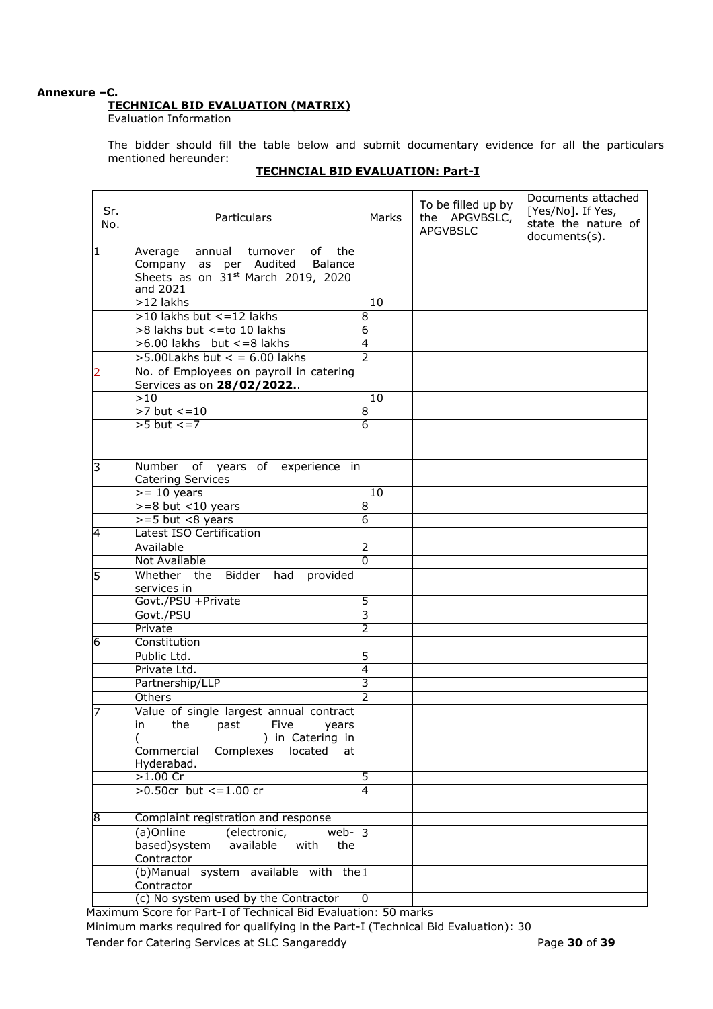#### **Annexure –C. TECHNICAL BID EVALUATION (MATRIX)**

Evaluation Information

The bidder should fill the table below and submit documentary evidence for all the particulars mentioned hereunder:

| Sr.<br>No. | Particulars                                                                                                                       |                | To be filled up by<br>the APGVBSLC,<br><b>APGVBSLC</b> | Documents attached<br>[Yes/No]. If Yes,<br>state the nature of<br>documents(s). |
|------------|-----------------------------------------------------------------------------------------------------------------------------------|----------------|--------------------------------------------------------|---------------------------------------------------------------------------------|
| 1          | annual<br>turnover<br>of<br>the<br>Average<br>Company as per Audited<br>Balance<br>Sheets as on 31st March 2019, 2020<br>and 2021 |                |                                                        |                                                                                 |
|            | $>12$ lakhs                                                                                                                       | 10             |                                                        |                                                                                 |
|            | $>10$ lakhs but $\lt$ = 12 lakhs                                                                                                  | 8              |                                                        |                                                                                 |
|            | >8 lakhs but <= to 10 lakhs                                                                                                       | 6              |                                                        |                                                                                 |
|            | $>6.00$ lakhs but $\lt$ =8 lakhs                                                                                                  | 4              |                                                        |                                                                                 |
|            | $>5.00$ Lakhs but < = 6.00 lakhs                                                                                                  | $\overline{2}$ |                                                        |                                                                                 |
| 2          | No. of Employees on payroll in catering<br>Services as on 28/02/2022                                                              |                |                                                        |                                                                                 |
|            | >10                                                                                                                               | 10             |                                                        |                                                                                 |
|            | $>7$ but $<-10$                                                                                                                   | 8              |                                                        |                                                                                 |
|            | $>5$ but $\lt = 7$                                                                                                                | 6              |                                                        |                                                                                 |
|            |                                                                                                                                   |                |                                                        |                                                                                 |
| 3          | Number of years of<br>experience in<br><b>Catering Services</b>                                                                   |                |                                                        |                                                                                 |
|            | $>= 10$ years                                                                                                                     | 10             |                                                        |                                                                                 |
|            | $>=8$ but <10 years                                                                                                               | 8              |                                                        |                                                                                 |
|            | $>= 5$ but $< 8$ years                                                                                                            | 6              |                                                        |                                                                                 |
| 4          | <b>Latest ISO Certification</b>                                                                                                   |                |                                                        |                                                                                 |
|            | Available                                                                                                                         | 2              |                                                        |                                                                                 |
|            | Not Available                                                                                                                     | l0             |                                                        |                                                                                 |
| 5          | Whether the<br>Bidder had<br>provided<br>services in                                                                              |                |                                                        |                                                                                 |
|            | Govt./PSU +Private                                                                                                                | 5              |                                                        |                                                                                 |
|            | Govt./PSU                                                                                                                         | 3              |                                                        |                                                                                 |
|            | Private                                                                                                                           | 2              |                                                        |                                                                                 |
| 6          | Constitution                                                                                                                      |                |                                                        |                                                                                 |
|            | Public Ltd.                                                                                                                       | 5              |                                                        |                                                                                 |
|            | Private Ltd.                                                                                                                      | 4              |                                                        |                                                                                 |
|            | Partnership/LLP                                                                                                                   | 3              |                                                        |                                                                                 |
|            | Others                                                                                                                            | 2              |                                                        |                                                                                 |
| 7          | Value of single largest annual contract                                                                                           |                |                                                        |                                                                                 |
|            | in the past Five years<br>in Catering in<br>Complexes<br>Commercial<br>located<br>at<br>Hyderabad.                                |                |                                                        |                                                                                 |
|            | $>1.00$ Cr                                                                                                                        | 5              |                                                        |                                                                                 |
|            | >0.50cr but $\lt$ =1.00 cr                                                                                                        | 4              |                                                        |                                                                                 |
|            |                                                                                                                                   |                |                                                        |                                                                                 |
| 8          | Complaint registration and response                                                                                               |                |                                                        |                                                                                 |
|            | (a)Online<br>(electronic,<br>web- $ 3 $<br>based)system<br>available<br>with<br>the<br>Contractor                                 |                |                                                        |                                                                                 |
|            | (b)Manual system available with the <sup>1</sup><br>Contractor                                                                    |                |                                                        |                                                                                 |
|            | (c) No system used by the Contractor                                                                                              | $\overline{0}$ |                                                        |                                                                                 |

# **TECHNCIAL BID EVALUATION: Part-I**

Maximum Score for Part-I of Technical Bid Evaluation: 50 marks Minimum marks required for qualifying in the Part-I (Technical Bid Evaluation): 30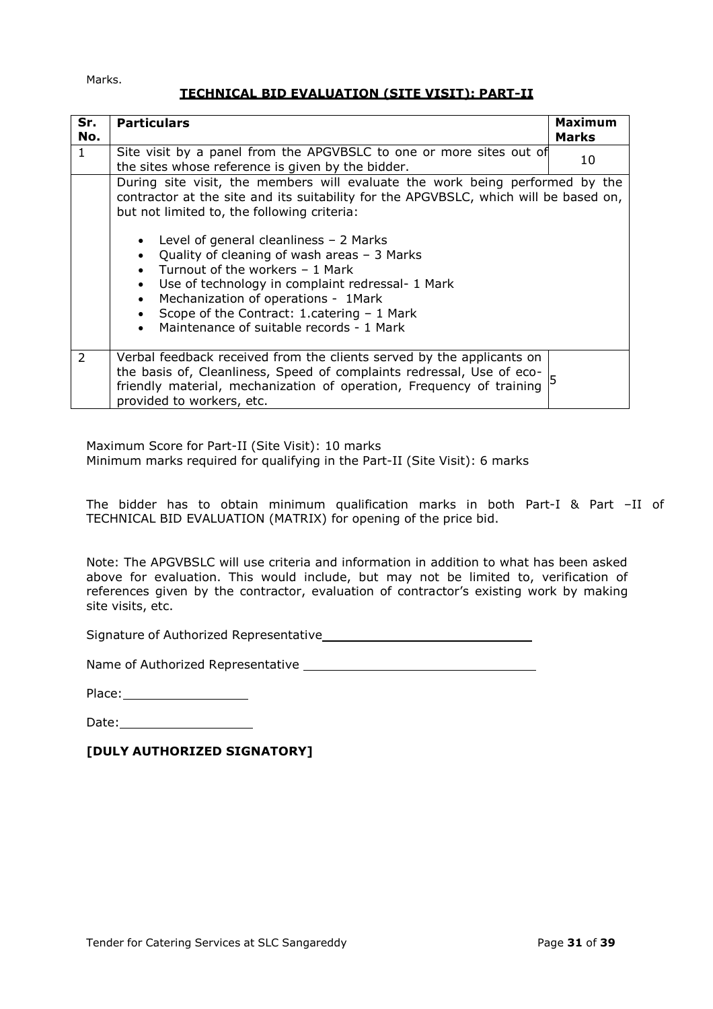Marks.

# **TECHNICAL BID EVALUATION (SITE VISIT): PART-II**

| Sr.<br>No. | <b>Particulars</b>                                                                                                                                                                                                                                                                                                                                                                            | <b>Maximum</b><br><b>Marks</b> |  |
|------------|-----------------------------------------------------------------------------------------------------------------------------------------------------------------------------------------------------------------------------------------------------------------------------------------------------------------------------------------------------------------------------------------------|--------------------------------|--|
| 1          | Site visit by a panel from the APGVBSLC to one or more sites out of<br>10<br>the sites whose reference is given by the bidder.                                                                                                                                                                                                                                                                |                                |  |
|            | During site visit, the members will evaluate the work being performed by the<br>contractor at the site and its suitability for the APGVBSLC, which will be based on,<br>but not limited to, the following criteria:                                                                                                                                                                           |                                |  |
|            | Level of general cleanliness $-2$ Marks<br>$\bullet$<br>Quality of cleaning of wash areas $-3$ Marks<br>$\bullet$<br>Turnout of the workers - 1 Mark<br>Use of technology in complaint redressal- 1 Mark<br>$\bullet$<br>Mechanization of operations - 1Mark<br>$\bullet$<br>Scope of the Contract: 1.catering - 1 Mark<br>$\bullet$<br>Maintenance of suitable records - 1 Mark<br>$\bullet$ |                                |  |
| 2          | Verbal feedback received from the clients served by the applicants on<br>the basis of, Cleanliness, Speed of complaints redressal, Use of eco-<br>friendly material, mechanization of operation, Frequency of training<br>provided to workers, etc.                                                                                                                                           |                                |  |

Maximum Score for Part-II (Site Visit): 10 marks Minimum marks required for qualifying in the Part-II (Site Visit): 6 marks

The bidder has to obtain minimum qualification marks in both Part-I & Part –II of TECHNICAL BID EVALUATION (MATRIX) for opening of the price bid.

Note: The APGVBSLC will use criteria and information in addition to what has been asked above for evaluation. This would include, but may not be limited to, verification of references given by the contractor, evaluation of contractor's existing work by making site visits, etc.

Signature of Authorized Representative

Name of Authorized Representative

Place:

Date: 1988

**[DULY AUTHORIZED SIGNATORY]**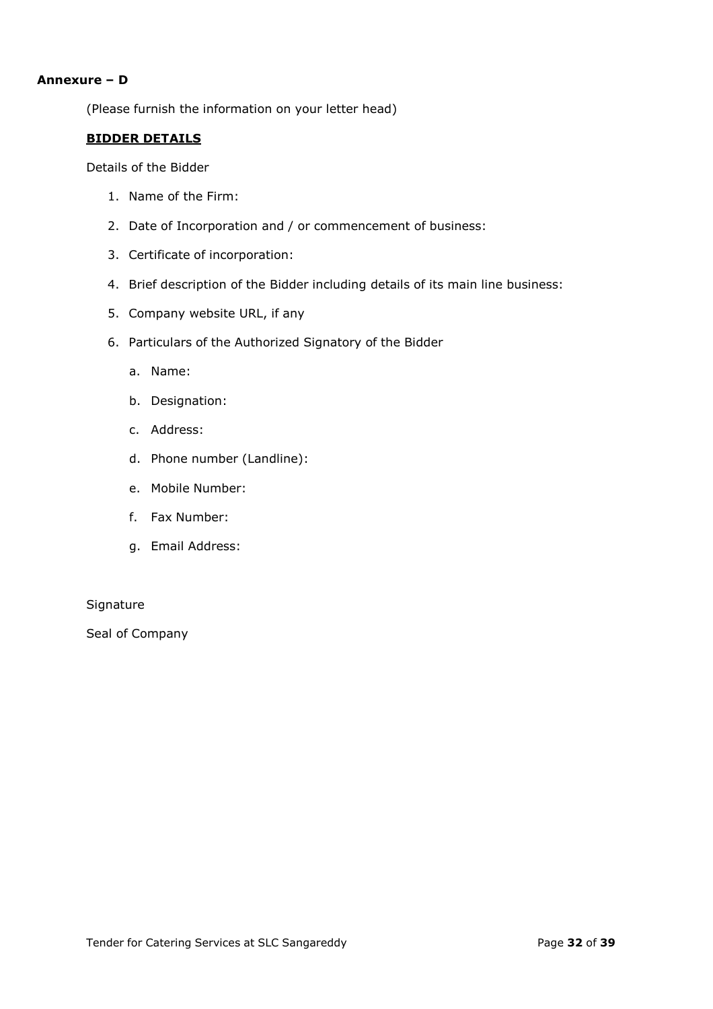#### **Annexure – D**

(Please furnish the information on your letter head)

# **BIDDER DETAILS**

Details of the Bidder

- 1. Name of the Firm:
- 2. Date of Incorporation and / or commencement of business:
- 3. Certificate of incorporation:
- 4. Brief description of the Bidder including details of its main line business:
- 5. Company website URL, if any
- 6. Particulars of the Authorized Signatory of the Bidder
	- a. Name:
	- b. Designation:
	- c. Address:
	- d. Phone number (Landline):
	- e. Mobile Number:
	- f. Fax Number:
	- g. Email Address:

#### **Signature**

Seal of Company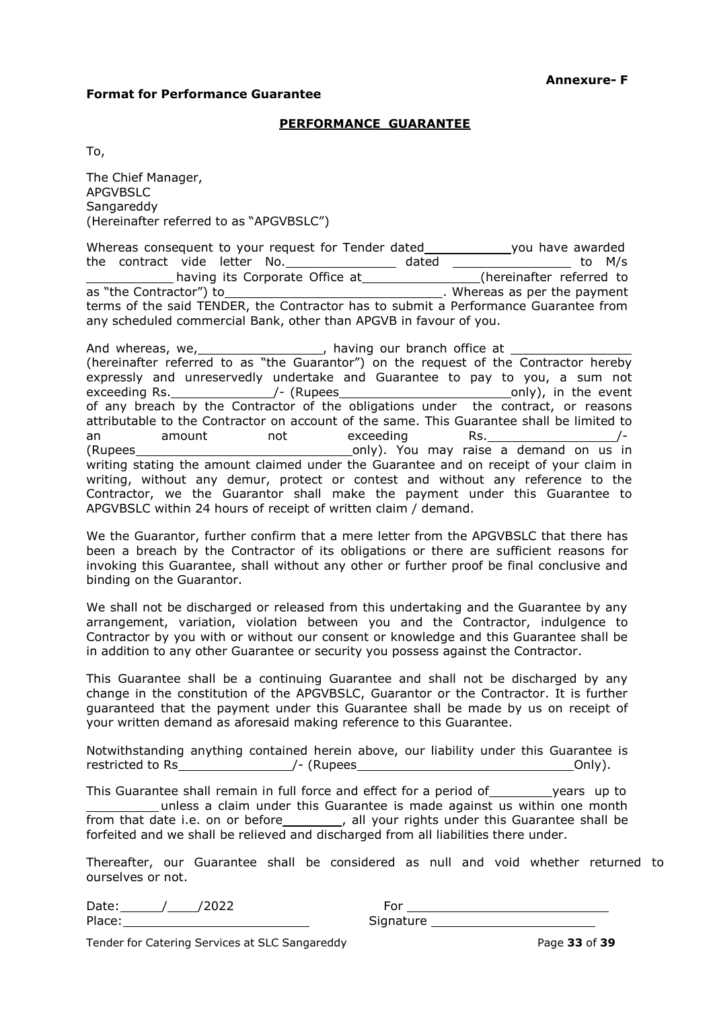#### **Format for Performance Guarantee**

#### **PERFORMANCE GUARANTEE**

To,

The Chief Manager, APGVBSLC Sangareddy (Hereinafter referred to as "APGVBSLC")

Whereas consequent to your request for Tender dated\_\_\_\_\_\_\_\_\_\_\_\_\_\_you have awarded the contract vide letter No.\_\_\_\_\_\_\_\_\_\_\_\_\_\_\_\_\_\_ dated \_\_\_\_\_\_\_\_\_\_\_\_\_\_\_\_\_\_\_\_\_\_ to M/s having its Corporate Office at\_\_\_\_\_\_\_\_\_\_\_\_\_\_\_\_\_\_(hereinafter referred to as "the Contractor") to **.** Whereas as per the payment terms of the said TENDER, the Contractor has to submit a Performance Guarantee from any scheduled commercial Bank, other than APGVB in favour of you.

And whereas, we, solution of the same whole paying our branch office at (hereinafter referred to as "the Guarantor") on the request of the Contractor hereby expressly and unreservedly undertake and Guarantee to pay to you, a sum not exceeding Rs. \_\_\_\_\_\_\_\_\_\_\_\_\_\_\_\_\_/- (Rupees\_\_ of any breach by the Contractor of the obligations under the contract, or reasons attributable to the Contractor on account of the same. This Guarantee shall be limited to an amount not exceeding Rs. And the monod  $(Rupees$   $\qquad \qquad \qquad \qquad \qquad \qquad$  only). You may raise a demand on us in writing stating the amount claimed under the Guarantee and on receipt of your claim in writing, without any demur, protect or contest and without any reference to the Contractor, we the Guarantor shall make the payment under this Guarantee to APGVBSLC within 24 hours of receipt of written claim / demand.

We the Guarantor, further confirm that a mere letter from the APGVBSLC that there has been a breach by the Contractor of its obligations or there are sufficient reasons for invoking this Guarantee, shall without any other or further proof be final conclusive and binding on the Guarantor.

We shall not be discharged or released from this undertaking and the Guarantee by any arrangement, variation, violation between you and the Contractor, indulgence to Contractor by you with or without our consent or knowledge and this Guarantee shall be in addition to any other Guarantee or security you possess against the Contractor.

This Guarantee shall be a continuing Guarantee and shall not be discharged by any change in the constitution of the APGVBSLC, Guarantor or the Contractor. It is further guaranteed that the payment under this Guarantee shall be made by us on receipt of your written demand as aforesaid making reference to this Guarantee.

Notwithstanding anything contained herein above, our liability under this Guarantee is restricted to Rs /- (Rupees Only).

This Guarantee shall remain in full force and effect for a period of \_\_\_\_\_\_\_\_\_years up to unless a claim under this Guarantee is made against us within one month from that date i.e. on or before , all your rights under this Guarantee shall be forfeited and we shall be relieved and discharged from all liabilities there under.

Thereafter, our Guarantee shall be considered as null and void whether returned to ourselves or not.

Date: / /2022 For Place: Signature Signature

Tender for Catering Services at SLC Sangareddy Page **33** of **39**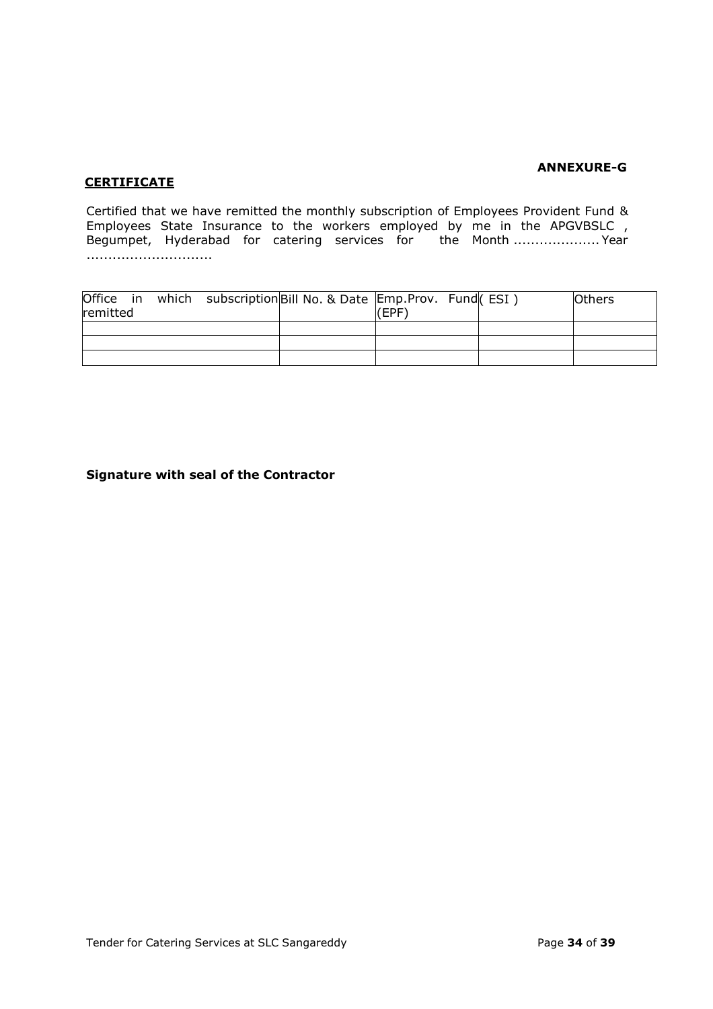## **ANNEXURE-G**

# **CERTIFICATE**

Certified that we have remitted the monthly subscription of Employees Provident Fund & Employees State Insurance to the workers employed by me in the APGVBSLC , Begumpet, Hyderabad for catering services for the Month .......................Year .............................

| remitted |  | Office in which subscription Bill No. & Date Emp. Prov. Fund (ESI) | (EPF) |  | <b>Others</b> |
|----------|--|--------------------------------------------------------------------|-------|--|---------------|
|          |  |                                                                    |       |  |               |
|          |  |                                                                    |       |  |               |
|          |  |                                                                    |       |  |               |

### **Signature with seal of the Contractor**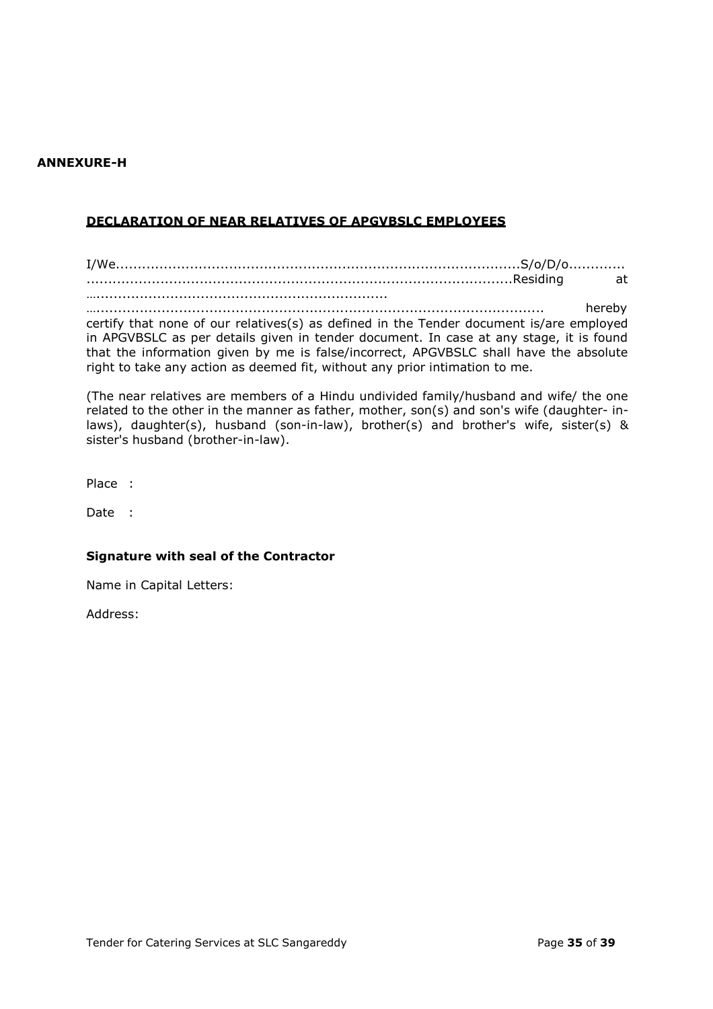#### **ANNEXURE-H**

# **DECLARATION OF NEAR RELATIVES OF APGVBSLC EMPLOYEES**

I/We.............................................................................................S/o/D/o............. ..................................................................................................Residing at ………………………………………………………………………………………

…....................................................................................................... hereby certify that none of our relatives(s) as defined in the Tender document is/are employed in APGVBSLC as per details given in tender document. In case at any stage, it is found that the information given by me is false/incorrect, APGVBSLC shall have the absolute right to take any action as deemed fit, without any prior intimation to me.

(The near relatives are members of a Hindu undivided family/husband and wife/ the one related to the other in the manner as father, mother, son(s) and son's wife (daughter- inlaws), daughter(s), husband (son-in-law), brother(s) and brother's wife, sister(s) & sister's husband (brother-in-law).

Place :

Date :

#### **Signature with seal of the Contractor**

Name in Capital Letters:

Address: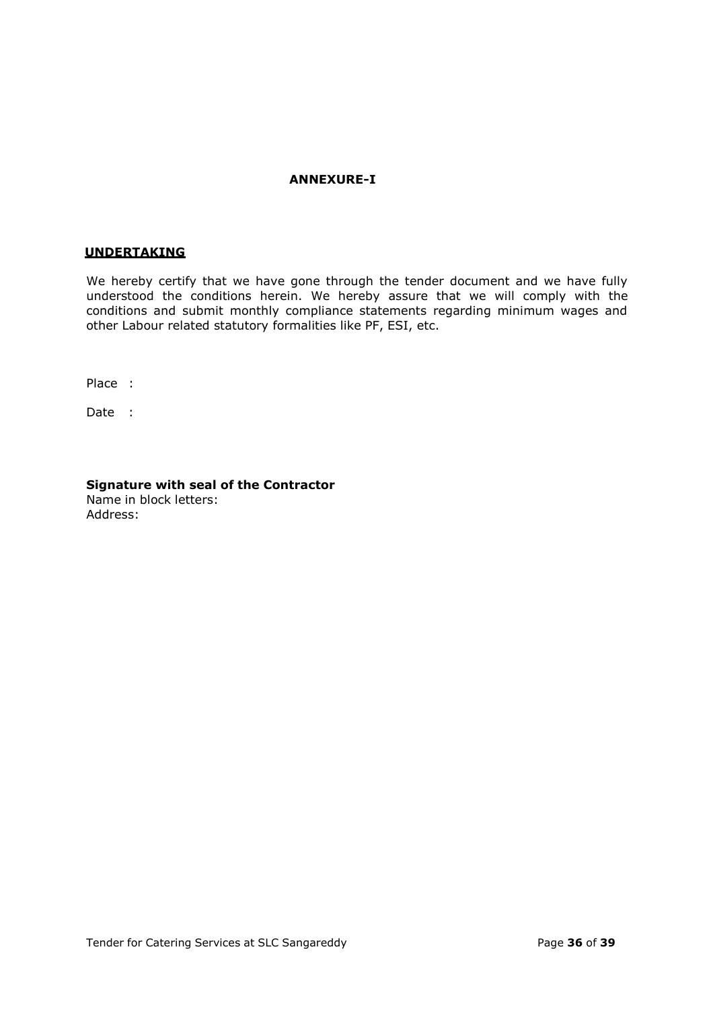#### **ANNEXURE-I**

#### **UNDERTAKING**

We hereby certify that we have gone through the tender document and we have fully understood the conditions herein. We hereby assure that we will comply with the conditions and submit monthly compliance statements regarding minimum wages and other Labour related statutory formalities like PF, ESI, etc.

Place :

Date :

**Signature with seal of the Contractor** Name in block letters: Address: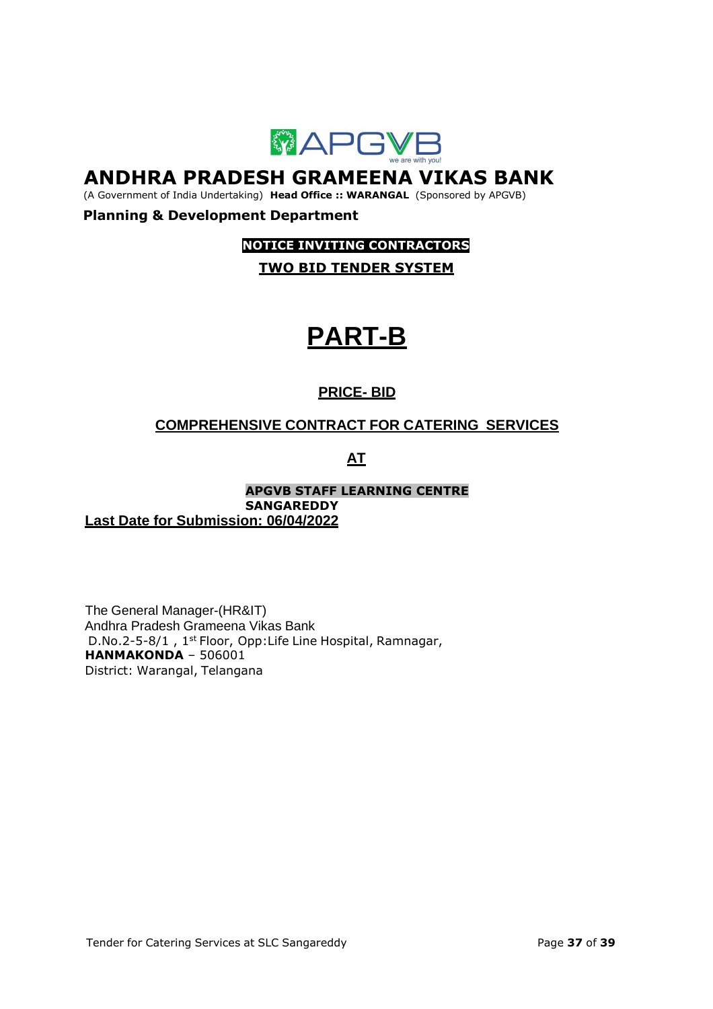

# **ANDHRA PRADESH GRAMEENA VIKAS BANK**

(A Government of India Undertaking) **Head Office :: WARANGAL** (Sponsored by APGVB)

# **Planning & Development Department**

# **NOTICE INVITING CONTRACTORS**

**TWO BID TENDER SYSTEM**

# **PART-B**

# **PRICE- BID**

# **COMPREHENSIVE CONTRACT FOR CATERING SERVICES**

**AT**

**APGVB STAFF LEARNING CENTRE SANGAREDDY Last Date for Submission: 06/04/2022**

The General Manager-(HR&IT) Andhra Pradesh Grameena Vikas Bank D.No.2-5-8/1, 1<sup>st</sup> Floor, Opp: Life Line Hospital, Ramnagar, **HANMAKONDA** – 506001 District: Warangal, Telangana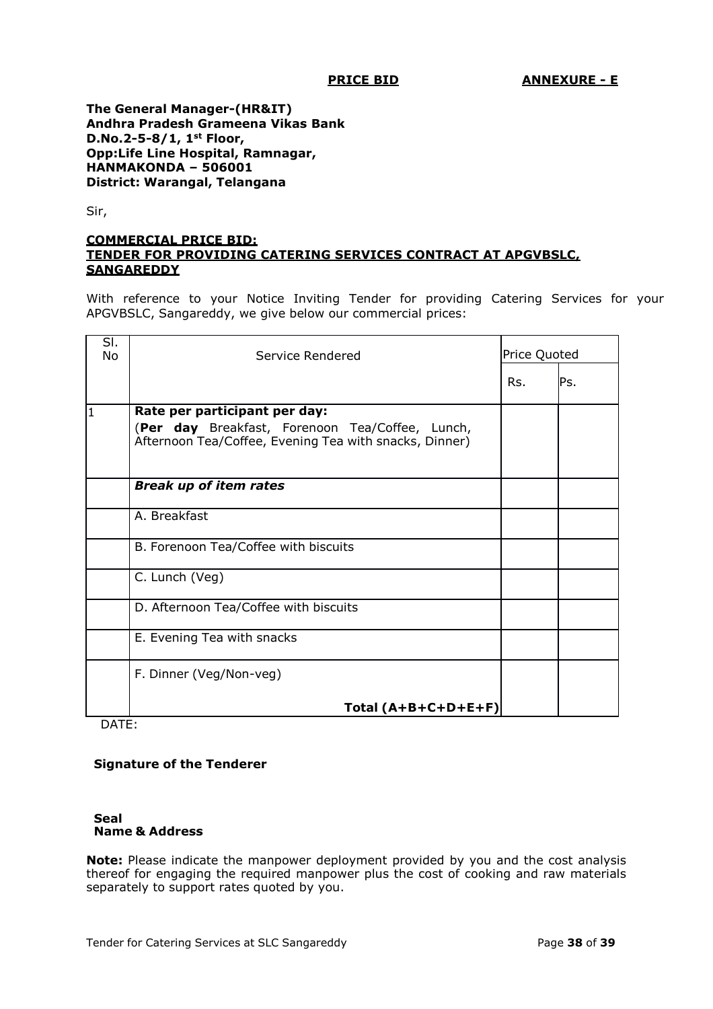**The General Manager-(HR&IT) Andhra Pradesh Grameena Vikas Bank D.No.2-5-8/1, 1st Floor, Opp:Life Line Hospital, Ramnagar, HANMAKONDA – 506001 District: Warangal, Telangana**

Sir,

#### **COMMERCIAL PRICE BID: TENDER FOR PROVIDING CATERING SERVICES CONTRACT AT APGVBSLC, SANGAREDDY**

With reference to your Notice Inviting Tender for providing Catering Services for your APGVBSLC, Sangareddy, we give below our commercial prices:

| SI.<br>No | Service Rendered                                                                                                                           | Price Quoted |     |
|-----------|--------------------------------------------------------------------------------------------------------------------------------------------|--------------|-----|
|           |                                                                                                                                            | Rs.          | Ps. |
| l1        | Rate per participant per day:<br>(Per day Breakfast, Forenoon Tea/Coffee, Lunch,<br>Afternoon Tea/Coffee, Evening Tea with snacks, Dinner) |              |     |
|           | <b>Break up of item rates</b>                                                                                                              |              |     |
|           | A. Breakfast                                                                                                                               |              |     |
|           | B. Forenoon Tea/Coffee with biscuits                                                                                                       |              |     |
|           | C. Lunch (Veg)                                                                                                                             |              |     |
|           | D. Afternoon Tea/Coffee with biscuits                                                                                                      |              |     |
|           | E. Evening Tea with snacks                                                                                                                 |              |     |
|           | F. Dinner (Veg/Non-veg)                                                                                                                    |              |     |
|           | Total (A+B+C+D+E+F)                                                                                                                        |              |     |

DATE:

# **Signature of the Tenderer**

#### **Seal Name & Address**

**Note:** Please indicate the manpower deployment provided by you and the cost analysis thereof for engaging the required manpower plus the cost of cooking and raw materials separately to support rates quoted by you.